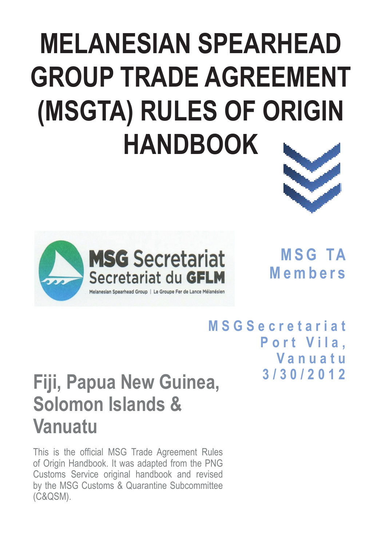# **MELANESIAN SPEARHEAD GROUP TRADE AGREEMENT (MSGTA) RULES OF ORIGIN HANDBOOK**



**M S G TA Members**

**M S G S e c r e t a r i a t**  Port Vila. **Vanuatu 3/30/2012**

## **Fiji, Papua New Guinea, Solomon Islands & Vanuatu**

This is the official MSG Trade Agreement Rules of Origin Handbook. It was adapted from the PNG Customs Service original handbook and revised by the MSG Customs & Quarantine Subcommittee (C&QSM).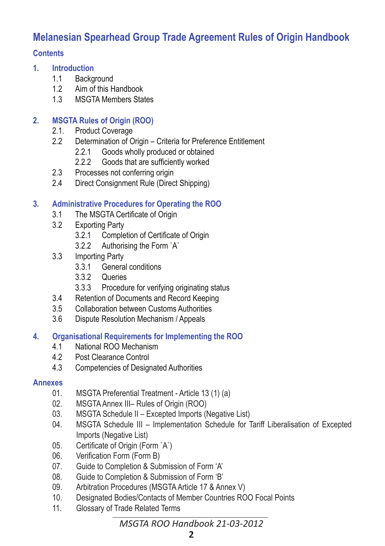## **Melanesian Spearhead Group Trade Agreement Rules of Origin Handbook**

#### **Contents**

- **1. Introduction**
	- 1.1 Background
	- 1.2 Aim of this Handbook<br>1.3 MSGTA Members Stai
	- **MSGTA Members States**

#### **2. MSGTA Rules of Origin (ROO)**

- 2.1. Product Coverage<br>2.2 Determination of O
- Determination of Origin Criteria for Preference Entitlement
	- 2.2.1 Goods wholly produced or obtained
	- 2.2.2 Goods that are sufficiently worked
- 2.3 Processes not conferring origin
- 2.4 Direct Consignment Rule (Direct Shipping)

#### **3. Administrative Procedures for Operating the ROO**

- 3.1 The MSGTA Certificate of Origin
- 3.2 Exporting Party
	- 3.2.1 Completion of Certificate of Origin
	- 3.2.2 Authorising the Form `A`
- 3.3 Importing Party
	- 3.3.1 General conditions
	- 3.3.2 Queries
	- 3.3.3 Procedure for verifying originating status
- 3.4 Retention of Documents and Record Keeping
- 3.5 Collaboration between Customs Authorities
- 3.6 Dispute Resolution Mechanism / Appeals

#### **4. Organisational Requirements for Implementing the ROO**

- 4.1 National ROO Mechanism
- 4.2 Post Clearance Control
- 4.3 Competencies of Designated Authorities

#### **Annexes**

- 01. MSGTA Preferential Treatment Article 13 (1) (a)<br>02. MSGTA Annex III– Rules of Origin (ROO)
- 02. MSGTA Annex III– Rules of Origin (ROO)
- 03. MSGTA Schedule II Excepted Imports (Negative List)
- 04. MSGTA Schedule III Implementation Schedule for Tariff Liberalisation of Excepted Imports (Negative List)
- 05. Certificate of Origin (Form `A`)
- 06. Verification Form (Form B)
- 07. Guide to Completion & Submission of Form 'A'
- 08. Guide to Completion & Submission of Form 'B'
- 09. Arbitration Procedures (MSGTA Article 17 & Annex V)
- 10. Designated Bodies/Contacts of Member Countries ROO Focal Points
- 11. Glossary of Trade Related Terms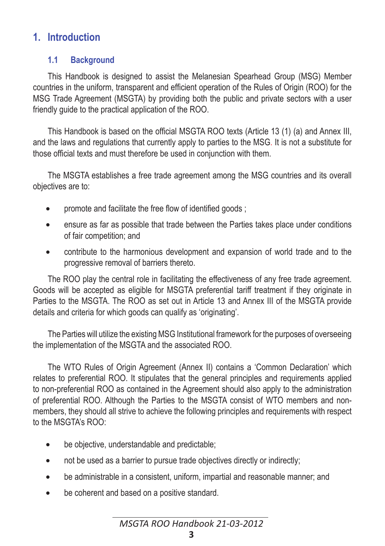## **1. Introduction**

## **1.1 Background**

This Handbook is designed to assist the Melanesian Spearhead Group (MSG) Member countries in the uniform, transparent and efficient operation of the Rules of Origin (ROO) for the MSG Trade Agreement (MSGTA) by providing both the public and private sectors with a user friendly guide to the practical application of the ROO.

This Handbook is based on the official MSGTA ROO texts (Article 13 (1) (a) and Annex III, and the laws and regulations that currently apply to parties to the MSG. It is not a substitute for those official texts and must therefore be used in conjunction with them.

The MSGTA establishes a free trade agreement among the MSG countries and its overall objectives are to:

- promote and facilitate the free flow of identified goods :
- ensure as far as possible that trade between the Parties takes place under conditions of fair competition; and
- contribute to the harmonious development and expansion of world trade and to the progressive removal of barriers thereto.

The ROO play the central role in facilitating the effectiveness of any free trade agreement. Goods will be accepted as eligible for MSGTA preferential tariff treatment if they originate in Parties to the MSGTA. The ROO as set out in Article 13 and Annex III of the MSGTA provide details and criteria for which goods can qualify as 'originating'.

The Parties will utilize the existing MSG Institutional framework for the purposes of overseeing the implementation of the MSGTA and the associated ROO.

The WTO Rules of Origin Agreement (Annex II) contains a 'Common Declaration' which relates to preferential ROO. It stipulates that the general principles and requirements applied to non-preferential ROO as contained in the Agreement should also apply to the administration of preferential ROO. Although the Parties to the MSGTA consist of WTO members and nonmembers, they should all strive to achieve the following principles and requirements with respect to the MSGTA's ROO:

- be objective, understandable and predictable;
- not be used as a barrier to pursue trade objectives directly or indirectly;
- be administrable in a consistent, uniform, impartial and reasonable manner; and
- be coherent and based on a positive standard.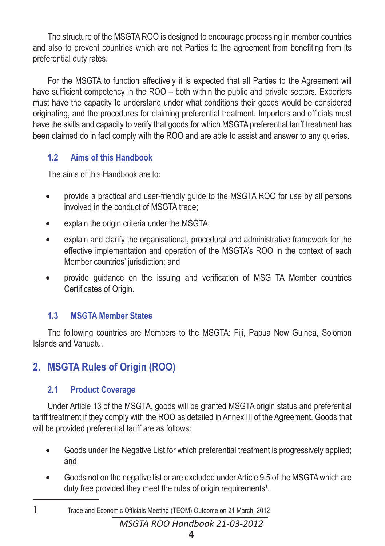The structure of the MSGTA ROO is designed to encourage processing in member countries and also to prevent countries which are not Parties to the agreement from benefiting from its preferential duty rates.

For the MSGTA to function effectively it is expected that all Parties to the Agreement will have sufficient competency in the ROO – both within the public and private sectors. Exporters must have the capacity to understand under what conditions their goods would be considered originating, and the procedures for claiming preferential treatment. Importers and officials must have the skills and capacity to verify that goods for which MSGTA preferential tariff treatment has been claimed do in fact comply with the ROO and are able to assist and answer to any queries.

## **1.2 Aims of this Handbook**

The aims of this Handbook are to:

- provide a practical and user-friendly quide to the MSGTA ROO for use by all persons involved in the conduct of MSGTA trade;
- explain the origin criteria under the MSGTA:
- explain and clarify the organisational, procedural and administrative framework for the effective implementation and operation of the MSGTA's ROO in the context of each Member countries' jurisdiction; and
- provide guidance on the issuing and verification of MSG TA Member countries Certificates of Origin.

## **1.3 MSGTA Member States**

The following countries are Members to the MSGTA: Fiji, Papua New Guinea, Solomon Islands and Vanuatu.

## **2. MSGTA Rules of Origin (ROO)**

## **2.1 Product Coverage**

Under Article 13 of the MSGTA, goods will be granted MSGTA origin status and preferential tariff treatment if they comply with the ROO as detailed in Annex III of the Agreement. Goods that will be provided preferential tariff are as follows:

- Goods under the Negative List for which preferential treatment is progressively applied; and
- • Goods not on the negative list or are excluded under Article 9.5 of the MSGTA which are duty free provided they meet the rules of origin requirements<sup>1</sup>.
- 1 Trade and Economic Officials Meeting (TEOM) Outcome on 21 March, 2012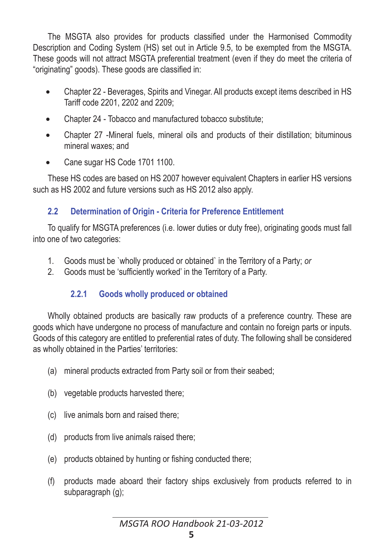The MSGTA also provides for products classified under the Harmonised Commodity Description and Coding System (HS) set out in Article 9.5, to be exempted from the MSGTA. These goods will not attract MSGTA preferential treatment (even if they do meet the criteria of "originating" goods). These goods are classified in:

- Chapter 22 Beverages, Spirits and Vinegar. All products except items described in HS Tariff code 2201, 2202 and 2209;
- Chapter 24 Tobacco and manufactured tobacco substitute:
- Chapter 27 -Mineral fuels, mineral oils and products of their distillation; bituminous mineral waxes; and
- Cane sugar HS Code 1701 1100.

These HS codes are based on HS 2007 however equivalent Chapters in earlier HS versions such as HS 2002 and future versions such as HS 2012 also apply.

## **2.2 Determination of Origin - Criteria for Preference Entitlement**

To qualify for MSGTA preferences (i.e. lower duties or duty free), originating goods must fall into one of two categories:

- 1. Goods must be `wholly produced or obtained` in the Territory of a Party; *or*
- 2. Goods must be 'sufficiently worked' in the Territory of a Party.

## **2.2.1 Goods wholly produced or obtained**

Wholly obtained products are basically raw products of a preference country. These are goods which have undergone no process of manufacture and contain no foreign parts or inputs. Goods of this category are entitled to preferential rates of duty. The following shall be considered as wholly obtained in the Parties' territories:

- (a) mineral products extracted from Party soil or from their seabed;
- (b) vegetable products harvested there;
- (c) live animals born and raised there;
- (d) products from live animals raised there;
- (e) products obtained by hunting or fishing conducted there;
- (f) products made aboard their factory ships exclusively from products referred to in subparagraph (g);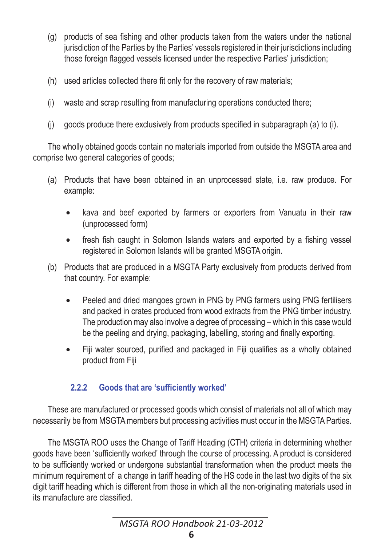- (g) products of sea fishing and other products taken from the waters under the national jurisdiction of the Parties by the Parties' vessels registered in their jurisdictions including those foreign flagged vessels licensed under the respective Parties' jurisdiction;
- (h) used articles collected there fit only for the recovery of raw materials;
- (i) waste and scrap resulting from manufacturing operations conducted there;
- (j) goods produce there exclusively from products specified in subparagraph (a) to (i).

The wholly obtained goods contain no materials imported from outside the MSGTA area and comprise two general categories of goods;

- (a) Products that have been obtained in an unprocessed state, i.e. raw produce. For example:
	- kava and beef exported by farmers or exporters from Vanuatu in their raw (unprocessed form)
	- fresh fish caught in Solomon Islands waters and exported by a fishing vessel registered in Solomon Islands will be granted MSGTA origin.
- (b) Products that are produced in a MSGTA Party exclusively from products derived from that country. For example:
	- Peeled and dried mangoes grown in PNG by PNG farmers using PNG fertilisers and packed in crates produced from wood extracts from the PNG timber industry. The production may also involve a degree of processing – which in this case would be the peeling and drying, packaging, labelling, storing and finally exporting.
	- • Fiji water sourced, purified and packaged in Fiji qualifies as a wholly obtained product from Fiji

#### **2.2.2 Goods that are 'sufficiently worked'**

These are manufactured or processed goods which consist of materials not all of which may necessarily be from MSGTA members but processing activities must occur in the MSGTA Parties.

The MSGTA ROO uses the Change of Tariff Heading (CTH) criteria in determining whether goods have been 'sufficiently worked' through the course of processing. A product is considered to be sufficiently worked or undergone substantial transformation when the product meets the minimum requirement of a change in tariff heading of the HS code in the last two digits of the six digit tariff heading which is different from those in which all the non-originating materials used in its manufacture are classified.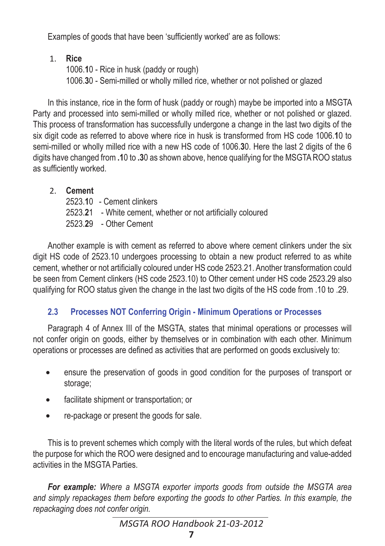Examples of goods that have been 'sufficiently worked' are as follows:

## 1. **Rice**

1006.**1**0 - Rice in husk (paddy or rough) 1006.**3**0 - Semi-milled or wholly milled rice, whether or not polished or glazed

In this instance, rice in the form of husk (paddy or rough) maybe be imported into a MSGTA Party and processed into semi-milled or wholly milled rice, whether or not polished or alazed. This process of transformation has successfully undergone a change in the last two digits of the six digit code as referred to above where rice in husk is transformed from HS code 1006.**1**0 to semi-milled or wholly milled rice with a new HS code of 1006.**3**0. Here the last 2 digits of the 6 digits have changed from **.1**0 to **.3**0 as shown above, hence qualifying for the MSGTA ROO status as sufficiently worked.

## 2. **Cement**

2523.**1**0 - Cement clinkers 2523.**2**1 - White cement, whether or not artificially coloured 2523.**2**9 - Other Cement

Another example is with cement as referred to above where cement clinkers under the six digit HS code of 2523.10 undergoes processing to obtain a new product referred to as white cement, whether or not artificially coloured under HS code 2523.21. Another transformation could be seen from Cement clinkers (HS code 2523.10) to Other cement under HS code 2523.29 also qualifying for ROO status given the change in the last two digits of the HS code from .10 to .29.

## **2.3 Processes NOT Conferring Origin - Minimum Operations or Processes**

Paragraph 4 of Annex III of the MSGTA, states that minimal operations or processes will not confer origin on goods, either by themselves or in combination with each other. Minimum operations or processes are defined as activities that are performed on goods exclusively to:

- ensure the preservation of goods in good condition for the purposes of transport or storage;
- facilitate shipment or transportation; or
- re-package or present the goods for sale.

This is to prevent schemes which comply with the literal words of the rules, but which defeat the purpose for which the ROO were designed and to encourage manufacturing and value-added activities in the MSGTA Parties.

*For example: Where a MSGTA exporter imports goods from outside the MSGTA area and simply repackages them before exporting the goods to other Parties. In this example, the repackaging does not confer origin.*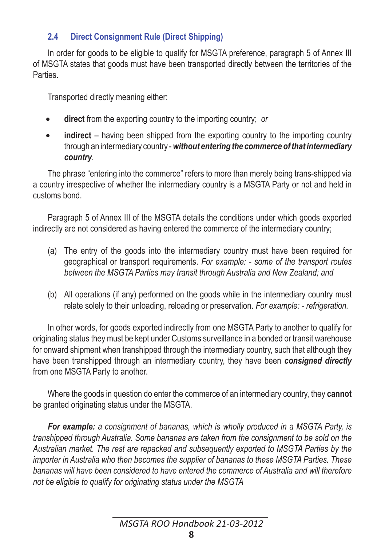## **2.4 Direct Consignment Rule (Direct Shipping)**

In order for goods to be eligible to qualify for MSGTA preference, paragraph 5 of Annex III of MSGTA states that goods must have been transported directly between the territories of the **Parties** 

Transported directly meaning either:

- **direct** from the exporting country to the importing country; *or*
- **indirect** having been shipped from the exporting country to the importing country through an intermediary country - *without entering the commerce of that intermediary country*.

The phrase "entering into the commerce" refers to more than merely being trans-shipped via a country irrespective of whether the intermediary country is a MSGTA Party or not and held in customs bond.

Paragraph 5 of Annex III of the MSGTA details the conditions under which goods exported indirectly are not considered as having entered the commerce of the intermediary country;

- (a) The entry of the goods into the intermediary country must have been required for geographical or transport requirements. *For example: - some of the transport routes between the MSGTA Parties may transit through Australia and New Zealand; and*
- (b) All operations (if any) performed on the goods while in the intermediary country must relate solely to their unloading, reloading or preservation. *For example: - refrigeration.*

In other words, for goods exported indirectly from one MSGTA Party to another to qualify for originating status they must be kept under Customs surveillance in a bonded or transit warehouse for onward shipment when transhipped through the intermediary country, such that although they have been transhipped through an intermediary country, they have been *consigned directly* from one MSGTA Party to another.

Where the goods in question do enter the commerce of an intermediary country, they **cannot** be granted originating status under the MSGTA.

*For example: a consignment of bananas, which is wholly produced in a MSGTA Party, is transhipped through Australia. Some bananas are taken from the consignment to be sold on the Australian market. The rest are repacked and subsequently exported to MSGTA Parties by the importer in Australia who then becomes the supplier of bananas to these MSGTA Parties. These bananas will have been considered to have entered the commerce of Australia and will therefore not be eligible to qualify for originating status under the MSGTA*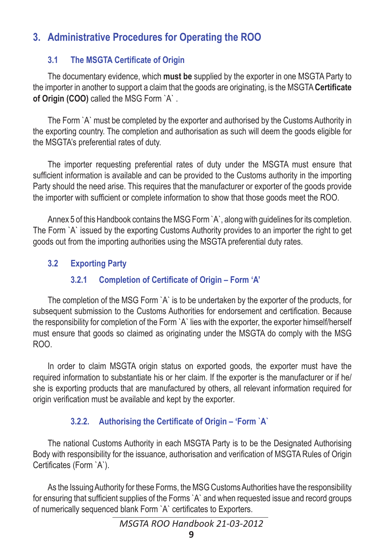## **3. Administrative Procedures for Operating the ROO**

## **3.1 The MSGTA Certificate of Origin**

The documentary evidence, which **must be** supplied by the exporter in one MSGTA Party to the importer in another to support a claim that the goods are originating, is the MSGTA **Certificate of Origin (COO)** called the MSG Form `A` .

The Form `A` must be completed by the exporter and authorised by the Customs Authority in the exporting country. The completion and authorisation as such will deem the goods eligible for the MSGTA's preferential rates of duty.

The importer requesting preferential rates of duty under the MSGTA must ensure that sufficient information is available and can be provided to the Customs authority in the importing Party should the need arise. This requires that the manufacturer or exporter of the goods provide the importer with sufficient or complete information to show that those goods meet the ROO.

Annex 5 of this Handbook contains the MSG Form `A`, along with guidelines for its completion. The Form `A` issued by the exporting Customs Authority provides to an importer the right to get goods out from the importing authorities using the MSGTA preferential duty rates.

## **3.2 Exporting Party**

## **3.2.1 Completion of Certificate of Origin – Form 'A'**

The completion of the MSG Form `A` is to be undertaken by the exporter of the products, for subsequent submission to the Customs Authorities for endorsement and certification. Because the responsibility for completion of the Form `A` lies with the exporter, the exporter himself/herself must ensure that goods so claimed as originating under the MSGTA do comply with the MSG ROO.

In order to claim MSGTA origin status on exported goods, the exporter must have the required information to substantiate his or her claim. If the exporter is the manufacturer or if he/ she is exporting products that are manufactured by others, all relevant information required for origin verification must be available and kept by the exporter.

## **3.2.2. Authorising the Certificate of Origin – 'Form `A`**

The national Customs Authority in each MSGTA Party is to be the Designated Authorising Body with responsibility for the issuance, authorisation and verification of MSGTA Rules of Origin Certificates (Form `A`).

As the Issuing Authority for these Forms, the MSG Customs Authorities have the responsibility for ensuring that sufficient supplies of the Forms `A` and when requested issue and record groups of numerically sequenced blank Form `A` certificates to Exporters.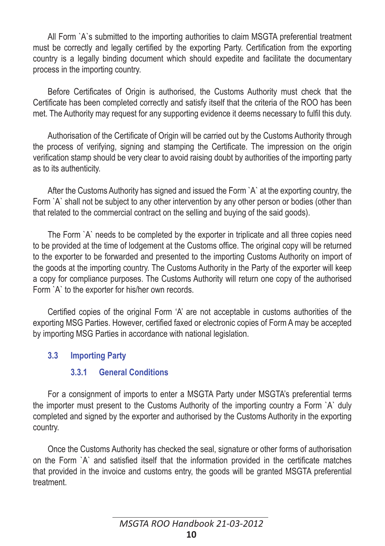All Form `A`s submitted to the importing authorities to claim MSGTA preferential treatment must be correctly and legally certified by the exporting Party. Certification from the exporting country is a legally binding document which should expedite and facilitate the documentary process in the importing country.

Before Certificates of Origin is authorised, the Customs Authority must check that the Certificate has been completed correctly and satisfy itself that the criteria of the ROO has been met. The Authority may request for any supporting evidence it deems necessary to fulfil this duty.

Authorisation of the Certificate of Origin will be carried out by the Customs Authority through the process of verifying, signing and stamping the Certificate. The impression on the origin verification stamp should be very clear to avoid raising doubt by authorities of the importing party as to its authenticity.

After the Customs Authority has signed and issued the Form `A` at the exporting country, the Form `A` shall not be subject to any other intervention by any other person or bodies (other than that related to the commercial contract on the selling and buying of the said goods).

The Form `A` needs to be completed by the exporter in triplicate and all three copies need to be provided at the time of lodgement at the Customs office. The original copy will be returned to the exporter to be forwarded and presented to the importing Customs Authority on import of the goods at the importing country. The Customs Authority in the Party of the exporter will keep a copy for compliance purposes. The Customs Authority will return one copy of the authorised Form `A` to the exporter for his/her own records.

Certified copies of the original Form 'A' are not acceptable in customs authorities of the exporting MSG Parties. However, certified faxed or electronic copies of Form A may be accepted by importing MSG Parties in accordance with national legislation.

#### **3.3 Importing Party**

#### **3.3.1 General Conditions**

For a consignment of imports to enter a MSGTA Party under MSGTA's preferential terms the importer must present to the Customs Authority of the importing country a Form `A` duly completed and signed by the exporter and authorised by the Customs Authority in the exporting country.

Once the Customs Authority has checked the seal, signature or other forms of authorisation on the Form `A` and satisfied itself that the information provided in the certificate matches that provided in the invoice and customs entry, the goods will be granted MSGTA preferential treatment.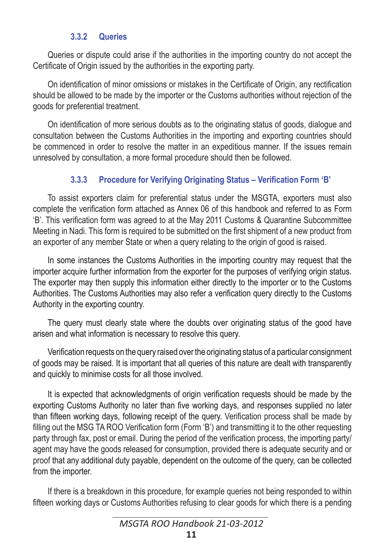#### **3.3.2 Queries**

Queries or dispute could arise if the authorities in the importing country do not accept the Certificate of Origin issued by the authorities in the exporting party.

On identification of minor omissions or mistakes in the Certificate of Origin, any rectification should be allowed to be made by the importer or the Customs authorities without rejection of the goods for preferential treatment.

On identification of more serious doubts as to the originating status of goods, dialogue and consultation between the Customs Authorities in the importing and exporting countries should be commenced in order to resolve the matter in an expeditious manner. If the issues remain unresolved by consultation, a more formal procedure should then be followed.

## **3.3.3 Procedure for Verifying Originating Status – Verification Form 'B'**

To assist exporters claim for preferential status under the MSGTA, exporters must also complete the verification form attached as Annex 06 of this handbook and referred to as Form 'B'. This verification form was agreed to at the May 2011 Customs & Quarantine Subcommittee Meeting in Nadi. This form is required to be submitted on the first shipment of a new product from an exporter of any member State or when a query relating to the origin of good is raised.

In some instances the Customs Authorities in the importing country may request that the importer acquire further information from the exporter for the purposes of verifying origin status. The exporter may then supply this information either directly to the importer or to the Customs Authorities. The Customs Authorities may also refer a verification query directly to the Customs Authority in the exporting country.

The query must clearly state where the doubts over originating status of the good have arisen and what information is necessary to resolve this query.

Verification requests on the query raised over the originating status of a particular consignment of goods may be raised. It is important that all queries of this nature are dealt with transparently and quickly to minimise costs for all those involved.

It is expected that acknowledgments of origin verification requests should be made by the exporting Customs Authority no later than five working days, and responses supplied no later than fifteen working days, following receipt of the query. Verification process shall be made by filling out the MSG TA ROO Verification form (Form 'B') and transmitting it to the other requesting party through fax, post or email. During the period of the verification process, the importing party/ agent may have the goods released for consumption, provided there is adequate security and or proof that any additional duty payable, dependent on the outcome of the query, can be collected from the importer.

If there is a breakdown in this procedure, for example queries not being responded to within fifteen working days or Customs Authorities refusing to clear goods for which there is a pending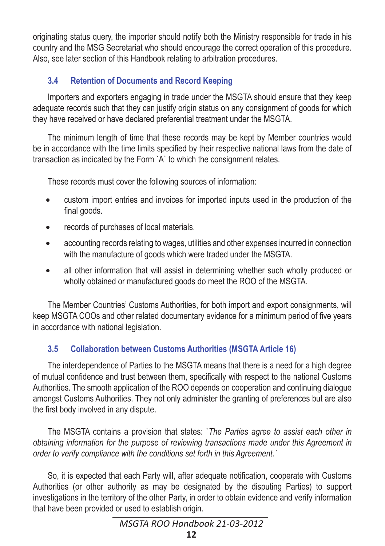originating status query, the importer should notify both the Ministry responsible for trade in his country and the MSG Secretariat who should encourage the correct operation of this procedure. Also, see later section of this Handbook relating to arbitration procedures.

## **3.4 Retention of Documents and Record Keeping**

Importers and exporters engaging in trade under the MSGTA should ensure that they keep adequate records such that they can justify origin status on any consignment of goods for which they have received or have declared preferential treatment under the MSGTA.

The minimum length of time that these records may be kept by Member countries would be in accordance with the time limits specified by their respective national laws from the date of transaction as indicated by the Form `A` to which the consignment relates.

These records must cover the following sources of information:

- custom import entries and invoices for imported inputs used in the production of the final goods.
- records of purchases of local materials.
- accounting records relating to wages, utilities and other expenses incurred in connection with the manufacture of goods which were traded under the MSGTA.
- all other information that will assist in determining whether such wholly produced or wholly obtained or manufactured goods do meet the ROO of the MSGTA.

The Member Countries' Customs Authorities, for both import and export consignments, will keep MSGTA COOs and other related documentary evidence for a minimum period of five years in accordance with national legislation.

## **3.5 Collaboration between Customs Authorities (MSGTA Article 16)**

The interdependence of Parties to the MSGTA means that there is a need for a high degree of mutual confidence and trust between them, specifically with respect to the national Customs Authorities. The smooth application of the ROO depends on cooperation and continuing dialogue amongst Customs Authorities. They not only administer the granting of preferences but are also the first body involved in any dispute.

The MSGTA contains a provision that states: `*The Parties agree to assist each other in obtaining information for the purpose of reviewing transactions made under this Agreement in order to verify compliance with the conditions set forth in this Agreement.`*

So, it is expected that each Party will, after adequate notification, cooperate with Customs Authorities (or other authority as may be designated by the disputing Parties) to support investigations in the territory of the other Party, in order to obtain evidence and verify information that have been provided or used to establish origin.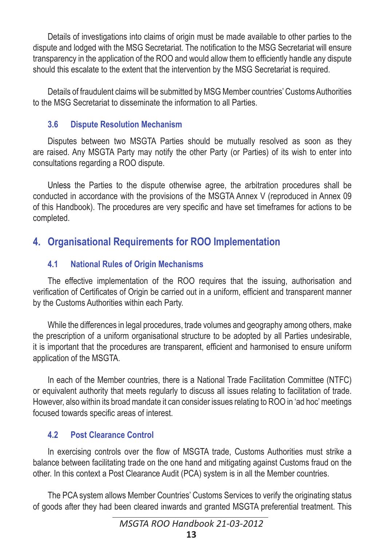Details of investigations into claims of origin must be made available to other parties to the dispute and lodged with the MSG Secretariat. The notification to the MSG Secretariat will ensure transparency in the application of the ROO and would allow them to efficiently handle any dispute should this escalate to the extent that the intervention by the MSG Secretariat is required.

Details of fraudulent claims will be submitted by MSG Member countries' Customs Authorities to the MSG Secretariat to disseminate the information to all Parties.

### **3.6 Dispute Resolution Mechanism**

Disputes between two MSGTA Parties should be mutually resolved as soon as they are raised. Any MSGTA Party may notify the other Party (or Parties) of its wish to enter into consultations regarding a ROO dispute.

Unless the Parties to the dispute otherwise agree, the arbitration procedures shall be conducted in accordance with the provisions of the MSGTA Annex V (reproduced in Annex 09 of this Handbook). The procedures are very specific and have set timeframes for actions to be completed.

## **4. Organisational Requirements for ROO Implementation**

## **4.1 National Rules of Origin Mechanisms**

The effective implementation of the ROO requires that the issuing, authorisation and verification of Certificates of Origin be carried out in a uniform, efficient and transparent manner by the Customs Authorities within each Party.

While the differences in legal procedures, trade volumes and geography among others, make the prescription of a uniform organisational structure to be adopted by all Parties undesirable, it is important that the procedures are transparent, efficient and harmonised to ensure uniform application of the MSGTA.

In each of the Member countries, there is a National Trade Facilitation Committee (NTFC) or equivalent authority that meets regularly to discuss all issues relating to facilitation of trade. However, also within its broad mandate it can consider issues relating to ROO in 'ad hoc' meetings focused towards specific areas of interest.

## **4.2 Post Clearance Control**

In exercising controls over the flow of MSGTA trade, Customs Authorities must strike a balance between facilitating trade on the one hand and mitigating against Customs fraud on the other. In this context a Post Clearance Audit (PCA) system is in all the Member countries.

The PCA system allows Member Countries' Customs Services to verify the originating status of goods after they had been cleared inwards and granted MSGTA preferential treatment. This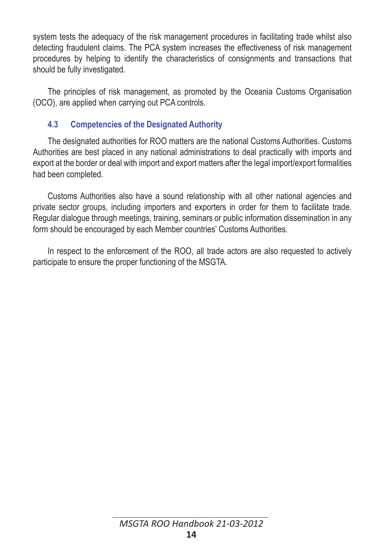system tests the adequacy of the risk management procedures in facilitating trade whilst also detecting fraudulent claims. The PCA system increases the effectiveness of risk management procedures by helping to identify the characteristics of consignments and transactions that should be fully investigated.

The principles of risk management, as promoted by the Oceania Customs Organisation (OCO), are applied when carrying out PCA controls.

### **4.3 Competencies of the Designated Authority**

The designated authorities for ROO matters are the national Customs Authorities. Customs Authorities are best placed in any national administrations to deal practically with imports and export at the border or deal with import and export matters after the legal import/export formalities had been completed.

Customs Authorities also have a sound relationship with all other national agencies and private sector groups, including importers and exporters in order for them to facilitate trade. Regular dialogue through meetings, training, seminars or public information dissemination in any form should be encouraged by each Member countries' Customs Authorities.

In respect to the enforcement of the ROO, all trade actors are also requested to actively participate to ensure the proper functioning of the MSGTA.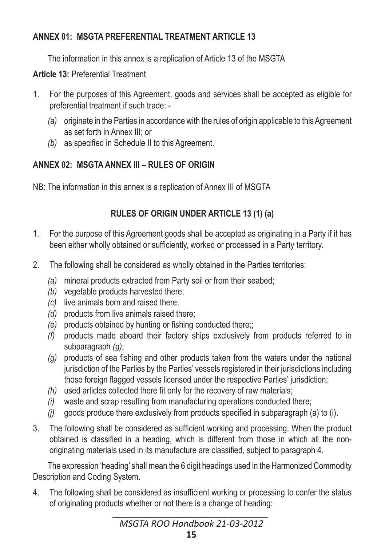## **ANNEX 01: MSGTA PREFERENTIAL TREATMENT ARTICLE 13**

The information in this annex is a replication of Article 13 of the MSGTA

**Article 13:** Preferential Treatment

- 1. For the purposes of this Agreement, goods and services shall be accepted as eligible for preferential treatment if such trade: -
	- *(a)* originate in the Parties in accordance with the rules of origin applicable to this Agreement as set forth in Annex III; or
	- *(b)* as specified in Schedule II to this Agreement.

## **ANNEX 02: MSGTA ANNEX III – RULES OF ORIGIN**

NB: The information in this annex is a replication of Annex III of MSGTA

## **RULES OF ORIGIN UNDER ARTICLE 13 (1) (a)**

- 1. For the purpose of this Agreement goods shall be accepted as originating in a Party if it has been either wholly obtained or sufficiently, worked or processed in a Party territory.
- 2. The following shall be considered as wholly obtained in the Parties territories:
	- *(a)* mineral products extracted from Party soil or from their seabed;
	- *(b)* vegetable products harvested there;
	- *(c)* live animals born and raised there;
	- *(d)* products from live animals raised there;
	- *(e)* products obtained by hunting or fishing conducted there;;
	- *(f)* products made aboard their factory ships exclusively from products referred to in subparagraph *(g)*;
	- *(g)* products of sea fishing and other products taken from the waters under the national jurisdiction of the Parties by the Parties' vessels registered in their jurisdictions including those foreign flagged vessels licensed under the respective Parties' jurisdiction;
	- *(h)* used articles collected there fit only for the recovery of raw materials;
	- *(i)* waste and scrap resulting from manufacturing operations conducted there;
	- *(j)* goods produce there exclusively from products specified in subparagraph (a) to (i).
- 3. The following shall be considered as sufficient working and processing. When the product obtained is classified in a heading, which is different from those in which all the nonoriginating materials used in its manufacture are classified, subject to paragraph 4.

The expression 'heading' shall mean the 6 digit headings used in the Harmonized Commodity Description and Coding System.

4. The following shall be considered as insufficient working or processing to confer the status of originating products whether or not there is a change of heading: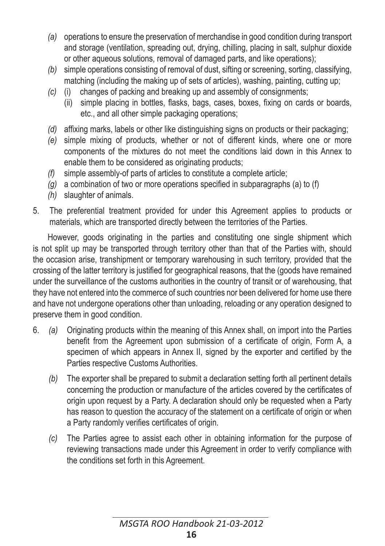- *(a)* operations to ensure the preservation of merchandise in good condition during transport and storage (ventilation, spreading out, drying, chilling, placing in salt, sulphur dioxide or other aqueous solutions, removal of damaged parts, and like operations);
- *(b)* simple operations consisting of removal of dust, sifting or screening, sorting, classifying, matching (including the making up of sets of articles), washing, painting, cutting up;
- *(c)* (i) changes of packing and breaking up and assembly of consignments;
	- (ii) simple placing in bottles, flasks, bags, cases, boxes, fixing on cards or boards, etc., and all other simple packaging operations;
- *(d)* affixing marks, labels or other like distinguishing signs on products or their packaging;
- *(e)* simple mixing of products, whether or not of different kinds, where one or more components of the mixtures do not meet the conditions laid down in this Annex to enable them to be considered as originating products;
- *(f)* simple assembly-of parts of articles to constitute a complete article;
- *(g)* a combination of two or more operations specified in subparagraphs (a) to (f)
- *(h)* slaughter of animals.
- 5. The preferential treatment provided for under this Agreement applies to products or materials, which are transported directly between the territories of the Parties.

However, goods originating in the parties and constituting one single shipment which is not split up may be transported through territory other than that of the Parties with, should the occasion arise, transhipment or temporary warehousing in such territory, provided that the crossing of the latter territory is justified for geographical reasons, that the (goods have remained under the surveillance of the customs authorities in the country of transit or of warehousing, that they have not entered into the commerce of such countries nor been delivered for home use there and have not undergone operations other than unloading, reloading or any operation designed to preserve them in good condition.

- 6. *(a)* Originating products within the meaning of this Annex shall, on import into the Parties benefit from the Agreement upon submission of a certificate of origin, Form A, a specimen of which appears in Annex II, signed by the exporter and certified by the Parties respective Customs Authorities.
	- *(b)* The exporter shall be prepared to submit a declaration setting forth all pertinent details concerning the production or manufacture of the articles covered by the certificates of origin upon request by a Party. A declaration should only be requested when a Party has reason to question the accuracy of the statement on a certificate of origin or when a Party randomly verifies certificates of origin.
	- *(c)* The Parties agree to assist each other in obtaining information for the purpose of reviewing transactions made under this Agreement in order to verify compliance with the conditions set forth in this Agreement.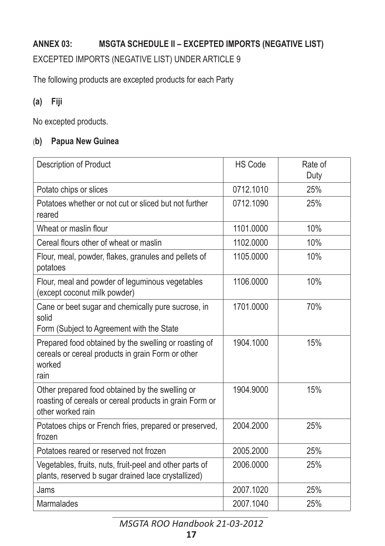## **ANNEX 03: MSGTA SCHEDULE II – EXCEPTED IMPORTS (NEGATIVE LIST)**

#### EXCEPTED IMPORTS (NEGATIVE LIST) UNDER ARTICLE 9

The following products are excepted products for each Party

### **(a) Fiji**

No excepted products.

#### (**b) Papua New Guinea**

| Description of Product                                                                                                          | <b>HS Code</b> | Rate of<br>Duty |
|---------------------------------------------------------------------------------------------------------------------------------|----------------|-----------------|
| Potato chips or slices                                                                                                          | 0712.1010      | 25%             |
| Potatoes whether or not cut or sliced but not further<br>reared                                                                 | 0712.1090      | 25%             |
| Wheat or maslin flour                                                                                                           | 1101.0000      | 10%             |
| Cereal flours other of wheat or maslin                                                                                          | 1102.0000      | 10%             |
| Flour, meal, powder, flakes, granules and pellets of<br>potatoes                                                                | 1105.0000      | 10%             |
| Flour, meal and powder of leguminous vegetables<br>(except coconut milk powder)                                                 | 1106.0000      | 10%             |
| Cane or beet sugar and chemically pure sucrose, in<br>solid<br>Form (Subject to Agreement with the State                        | 1701.0000      | 70%             |
| Prepared food obtained by the swelling or roasting of<br>cereals or cereal products in grain Form or other<br>worked<br>rain    | 1904.1000      | 15%             |
| Other prepared food obtained by the swelling or<br>roasting of cereals or cereal products in grain Form or<br>other worked rain | 1904.9000      | 15%             |
| Potatoes chips or French fries, prepared or preserved,<br>frozen                                                                | 2004.2000      | 25%             |
| Potatoes reared or reserved not frozen                                                                                          | 2005.2000      | 25%             |
| Vegetables, fruits, nuts, fruit-peel and other parts of<br>plants, reserved b sugar drained lace crystallized)                  | 2006.0000      | 25%             |
| Jams                                                                                                                            | 2007.1020      | 25%             |
| Marmalades                                                                                                                      | 2007.1040      | 25%             |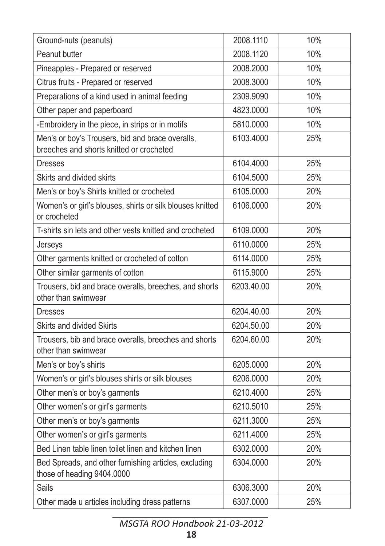| Ground-nuts (peanuts)                                                                        | 2008.1110  | 10% |
|----------------------------------------------------------------------------------------------|------------|-----|
| Peanut butter                                                                                | 2008.1120  | 10% |
| Pineapples - Prepared or reserved                                                            | 2008.2000  | 10% |
| Citrus fruits - Prepared or reserved                                                         | 2008.3000  | 10% |
| Preparations of a kind used in animal feeding                                                | 2309.9090  | 10% |
| Other paper and paperboard                                                                   | 4823.0000  | 10% |
| -Embroidery in the piece, in strips or in motifs                                             | 5810.0000  | 10% |
| Men's or boy's Trousers, bid and brace overalls,<br>breeches and shorts knitted or crocheted | 6103.4000  | 25% |
| <b>Dresses</b>                                                                               | 6104.4000  | 25% |
| Skirts and divided skirts                                                                    | 6104.5000  | 25% |
| Men's or boy's Shirts knitted or crocheted                                                   | 6105.0000  | 20% |
| Women's or girl's blouses, shirts or silk blouses knitted<br>or crocheted                    | 6106.0000  | 20% |
| T-shirts sin lets and other vests knitted and crocheted                                      | 6109.0000  | 20% |
| Jerseys                                                                                      | 6110.0000  | 25% |
| Other garments knitted or crocheted of cotton                                                | 6114.0000  | 25% |
| Other similar garments of cotton                                                             | 6115.9000  | 25% |
| Trousers, bid and brace overalls, breeches, and shorts<br>other than swimwear                | 6203.40.00 | 20% |
| <b>Dresses</b>                                                                               | 6204.40.00 | 20% |
| Skirts and divided Skirts                                                                    | 6204.50.00 | 20% |
| Trousers, bib and brace overalls, breeches and shorts<br>other than swimwear                 | 6204.60.00 | 20% |
| Men's or boy's shirts                                                                        | 6205.0000  | 20% |
| Women's or girl's blouses shirts or silk blouses                                             | 6206.0000  | 20% |
| Other men's or boy's garments                                                                | 6210.4000  | 25% |
| Other women's or girl's garments                                                             | 6210.5010  | 25% |
| Other men's or boy's garments                                                                | 6211.3000  | 25% |
| Other women's or girl's garments                                                             | 6211.4000  | 25% |
| Bed Linen table linen toilet linen and kitchen linen                                         | 6302.0000  | 20% |
| Bed Spreads, and other furnishing articles, excluding<br>those of heading 9404.0000          | 6304.0000  | 20% |
| Sails                                                                                        | 6306.3000  | 20% |
| Other made u articles including dress patterns                                               | 6307.0000  | 25% |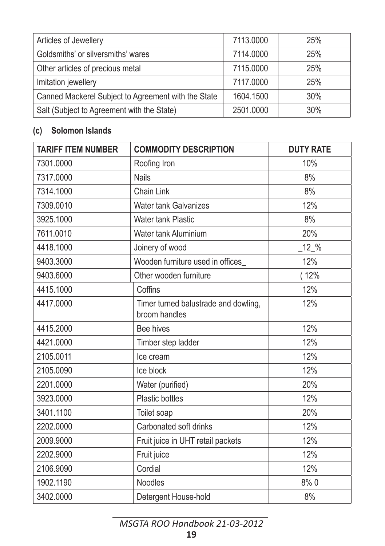| Articles of Jewellery                               | 7113.0000 | 25% |
|-----------------------------------------------------|-----------|-----|
| Goldsmiths' or silversmiths' wares                  | 7114.0000 | 25% |
| Other articles of precious metal                    | 7115.0000 | 25% |
| Imitation jewellery                                 | 7117.0000 | 25% |
| Canned Mackerel Subject to Agreement with the State | 1604.1500 | 30% |
| Salt (Subject to Agreement with the State)          | 2501.0000 | 30% |

## **(c) Solomon Islands**

| <b>TARIFF ITEM NUMBER</b> | <b>COMMODITY DESCRIPTION</b>                          | <b>DUTY RATE</b> |
|---------------------------|-------------------------------------------------------|------------------|
| 7301.0000                 | Roofing Iron                                          | 10%              |
| 7317.0000                 | <b>Nails</b>                                          | 8%               |
| 7314.1000                 | Chain Link                                            | 8%               |
| 7309.0010                 | <b>Water tank Galvanizes</b>                          | 12%              |
| 3925.1000                 | <b>Water tank Plastic</b>                             | 8%               |
| 7611.0010                 | Water tank Aluminium                                  | 20%              |
| 4418.1000                 | Joinery of wood                                       | $12\%$           |
| 9403.3000                 | Wooden furniture used in offices                      | 12%              |
| 9403.6000                 | Other wooden furniture                                | (12%             |
| 4415.1000                 | Coffins                                               | 12%              |
| 4417.0000                 | Timer turned balustrade and dowling,<br>broom handles | 12%              |
| 4415.2000                 | Bee hives                                             | 12%              |
| 4421.0000                 | Timber step ladder                                    | 12%              |
| 2105.0011                 | Ice cream                                             | 12%              |
| 2105.0090                 | Ice block                                             | 12%              |
| 2201.0000                 | Water (purified)                                      | 20%              |
| 3923.0000                 | <b>Plastic bottles</b>                                | 12%              |
| 3401.1100                 | Toilet soap                                           | 20%              |
| 2202.0000                 | Carbonated soft drinks                                | 12%              |
| 2009.9000                 | Fruit juice in UHT retail packets                     | 12%              |
| 2202.9000                 | Fruit juice                                           | 12%              |
| 2106.9090                 | Cordial                                               | 12%              |
| 1902.1190                 | Noodles                                               | 8%0              |
| 3402.0000                 | Detergent House-hold                                  | 8%               |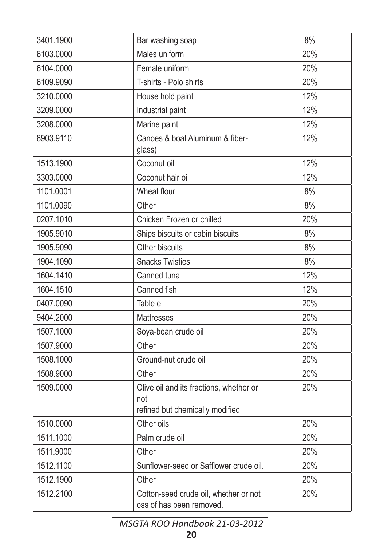| 3401.1900 | Bar washing soap                                                                  | 8%  |
|-----------|-----------------------------------------------------------------------------------|-----|
| 6103.0000 | Males uniform                                                                     | 20% |
| 6104.0000 | Female uniform                                                                    | 20% |
| 6109.9090 | T-shirts - Polo shirts                                                            | 20% |
| 3210.0000 | House hold paint                                                                  | 12% |
| 3209.0000 | Industrial paint                                                                  | 12% |
| 3208.0000 | Marine paint                                                                      | 12% |
| 8903.9110 | Canoes & boat Aluminum & fiber-<br>glass)                                         | 12% |
| 1513.1900 | Coconut oil                                                                       | 12% |
| 3303.0000 | Coconut hair oil                                                                  | 12% |
| 1101.0001 | Wheat flour                                                                       | 8%  |
| 1101.0090 | Other                                                                             | 8%  |
| 0207.1010 | Chicken Frozen or chilled                                                         | 20% |
| 1905.9010 | Ships biscuits or cabin biscuits                                                  | 8%  |
| 1905.9090 | Other biscuits                                                                    | 8%  |
| 1904.1090 | <b>Snacks Twisties</b>                                                            | 8%  |
| 1604.1410 | Canned tuna                                                                       | 12% |
| 1604.1510 | Canned fish                                                                       | 12% |
| 0407.0090 | Table e                                                                           | 20% |
| 9404.2000 | Mattresses                                                                        | 20% |
| 1507.1000 | Soya-bean crude oil                                                               | 20% |
| 1507.9000 | Other                                                                             | 20% |
| 1508.1000 | Ground-nut crude oil                                                              | 20% |
| 1508.9000 | Other                                                                             | 20% |
| 1509.0000 | Olive oil and its fractions, whether or<br>not<br>refined but chemically modified | 20% |
| 1510.0000 | Other oils                                                                        | 20% |
| 1511.1000 | Palm crude oil                                                                    | 20% |
| 1511.9000 | Other                                                                             | 20% |
| 1512.1100 | Sunflower-seed or Safflower crude oil.                                            | 20% |
| 1512.1900 | Other                                                                             | 20% |
| 1512.2100 | Cotton-seed crude oil, whether or not<br>oss of has been removed.                 | 20% |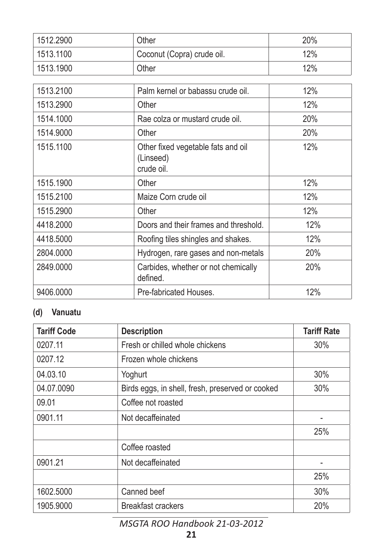| 1512.2900 | Other                                                         | 20% |
|-----------|---------------------------------------------------------------|-----|
| 1513.1100 | Coconut (Copra) crude oil.                                    | 12% |
| 1513.1900 | Other                                                         | 12% |
|           |                                                               |     |
| 1513.2100 | Palm kernel or babassu crude oil.                             | 12% |
| 1513.2900 | Other                                                         | 12% |
| 1514.1000 | Rae colza or mustard crude oil.                               | 20% |
| 1514.9000 | Other                                                         | 20% |
| 1515.1100 | Other fixed vegetable fats and oil<br>(Linseed)<br>crude oil. | 12% |
| 1515.1900 | Other                                                         | 12% |
| 1515.2100 | Maize Corn crude oil                                          | 12% |
| 1515.2900 | Other                                                         | 12% |
| 4418.2000 | Doors and their frames and threshold.                         | 12% |
| 4418.5000 | Roofing tiles shingles and shakes.                            | 12% |
| 2804.0000 | Hydrogen, rare gases and non-metals                           | 20% |
| 2849.0000 | Carbides, whether or not chemically<br>defined.               | 20% |
| 9406.0000 | Pre-fabricated Houses.                                        | 12% |

## **(d) Vanuatu**

| <b>Tariff Code</b> | <b>Description</b>                               | <b>Tariff Rate</b> |
|--------------------|--------------------------------------------------|--------------------|
| 0207.11            | Fresh or chilled whole chickens                  | 30%                |
| 0207.12            | Frozen whole chickens                            |                    |
| 04.03.10           | Yoghurt                                          | 30%                |
| 04.07.0090         | Birds eggs, in shell, fresh, preserved or cooked | 30%                |
| 09.01              | Coffee not roasted                               |                    |
| 0901.11            | Not decaffeinated                                |                    |
|                    |                                                  | 25%                |
|                    | Coffee roasted                                   |                    |
| 0901.21            | Not decaffeinated                                |                    |
|                    |                                                  | 25%                |
| 1602.5000          | Canned beef                                      | 30%                |
| 1905.9000          | <b>Breakfast crackers</b>                        | 20%                |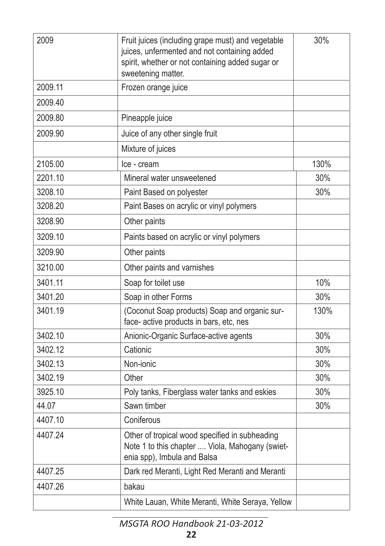| 2009    | Fruit juices (including grape must) and vegetable<br>juices, unfermented and not containing added<br>spirit, whether or not containing added sugar or<br>sweetening matter. | 30%  |
|---------|-----------------------------------------------------------------------------------------------------------------------------------------------------------------------------|------|
| 2009.11 | Frozen orange juice                                                                                                                                                         |      |
| 2009.40 |                                                                                                                                                                             |      |
| 2009.80 | Pineapple juice                                                                                                                                                             |      |
| 2009.90 | Juice of any other single fruit                                                                                                                                             |      |
|         | Mixture of juices                                                                                                                                                           |      |
| 2105.00 | Ice - cream                                                                                                                                                                 | 130% |
| 2201.10 | Mineral water unsweetened                                                                                                                                                   | 30%  |
| 3208.10 | Paint Based on polyester                                                                                                                                                    | 30%  |
| 3208.20 | Paint Bases on acrylic or vinyl polymers                                                                                                                                    |      |
| 3208.90 | Other paints                                                                                                                                                                |      |
| 3209.10 | Paints based on acrylic or vinyl polymers                                                                                                                                   |      |
| 3209.90 | Other paints                                                                                                                                                                |      |
| 3210.00 | Other paints and varnishes                                                                                                                                                  |      |
| 3401.11 | Soap for toilet use                                                                                                                                                         | 10%  |
| 3401.20 | Soap in other Forms                                                                                                                                                         | 30%  |
| 3401.19 | (Coconut Soap products) Soap and organic sur-<br>face- active products in bars, etc, nes                                                                                    | 130% |
| 3402.10 | Anionic-Organic Surface-active agents                                                                                                                                       | 30%  |
| 3402.12 | Cationic                                                                                                                                                                    | 30%  |
| 3402.13 | Non-ionic                                                                                                                                                                   | 30%  |
| 3402.19 | Other                                                                                                                                                                       | 30%  |
| 3925.10 | Poly tanks, Fiberglass water tanks and eskies                                                                                                                               | 30%  |
| 44.07   | Sawn timber                                                                                                                                                                 | 30%  |
| 4407.10 | Coniferous                                                                                                                                                                  |      |
| 4407.24 | Other of tropical wood specified in subheading<br>Note 1 to this chapter  Viola, Mahogany (swiet-<br>enia spp), Imbula and Balsa                                            |      |
| 4407.25 | Dark red Meranti, Light Red Meranti and Meranti                                                                                                                             |      |
| 4407.26 | bakau                                                                                                                                                                       |      |
|         | White Lauan, White Meranti, White Seraya, Yellow                                                                                                                            |      |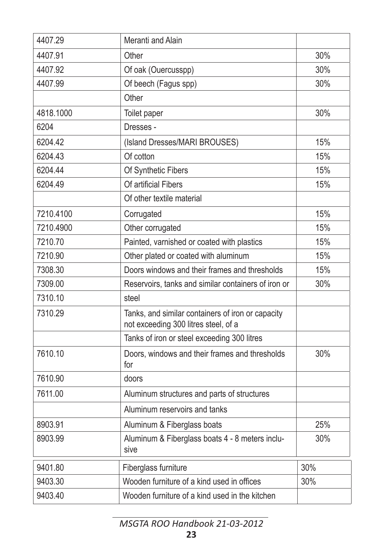| 4407.29   | Meranti and Alain                                                                         |     |
|-----------|-------------------------------------------------------------------------------------------|-----|
| 4407.91   | Other                                                                                     | 30% |
| 4407.92   | Of oak (Ouercusspp)                                                                       | 30% |
| 4407.99   | Of beech (Fagus spp)                                                                      | 30% |
|           | Other                                                                                     |     |
| 4818.1000 | Toilet paper                                                                              | 30% |
| 6204      | Dresses -                                                                                 |     |
| 6204.42   | (Island Dresses/MARI BROUSES)                                                             | 15% |
| 6204.43   | Of cotton                                                                                 | 15% |
| 6204.44   | Of Synthetic Fibers                                                                       | 15% |
| 6204.49   | Of artificial Fibers                                                                      | 15% |
|           | Of other textile material                                                                 |     |
| 7210.4100 | Corrugated                                                                                | 15% |
| 7210.4900 | Other corrugated                                                                          | 15% |
| 7210.70   | Painted, varnished or coated with plastics                                                | 15% |
| 7210.90   | Other plated or coated with aluminum                                                      | 15% |
| 7308.30   | Doors windows and their frames and thresholds                                             | 15% |
| 7309.00   | Reservoirs, tanks and similar containers of iron or                                       | 30% |
| 7310.10   | steel                                                                                     |     |
| 7310.29   | Tanks, and similar containers of iron or capacity<br>not exceeding 300 litres steel, of a |     |
|           | Tanks of iron or steel exceeding 300 litres                                               |     |
| 7610.10   | Doors, windows and their frames and thresholds<br>for                                     | 30% |
| 7610.90   | doors                                                                                     |     |
| 7611.00   | Aluminum structures and parts of structures                                               |     |
|           | Aluminum reservoirs and tanks                                                             |     |
| 8903.91   | Aluminum & Fiberglass boats                                                               | 25% |
| 8903.99   | Aluminum & Fiberglass boats 4 - 8 meters inclu-<br>sive                                   | 30% |
| 9401.80   | Fiberglass furniture                                                                      | 30% |
| 9403.30   | Wooden furniture of a kind used in offices                                                | 30% |
| 9403.40   | Wooden furniture of a kind used in the kitchen                                            |     |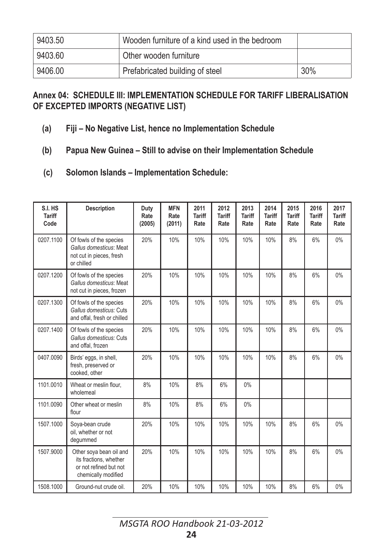| 9403.50 | Wooden furniture of a kind used in the bedroom |     |
|---------|------------------------------------------------|-----|
| 9403.60 | Other wooden furniture                         |     |
| 9406.00 | Prefabricated building of steel                | 30% |

#### **Annex 04: SCHEDULE III: IMPLEMENTATION SCHEDULE FOR TARIFF LIBERALISATION OF EXCEPTED IMPORTS (NEGATIVE LIST)**

- **(a) Fiji – No Negative List, hence no Implementation Schedule**
- **(b) Papua New Guinea – Still to advise on their Implementation Schedule**
- **(c) Solomon Islands – Implementation Schedule:**

| S.I. HS<br><b>Tariff</b><br>Code | <b>Description</b>                                                                                 | Duty<br>Rate<br>(2005) | <b>MFN</b><br>Rate<br>(2011) | 2011<br><b>Tariff</b><br>Rate | 2012<br><b>Tariff</b><br>Rate | 2013<br><b>Tariff</b><br>Rate | 2014<br><b>Tariff</b><br>Rate | 2015<br><b>Tariff</b><br>Rate | 2016<br><b>Tariff</b><br>Rate | 2017<br><b>Tariff</b><br>Rate |
|----------------------------------|----------------------------------------------------------------------------------------------------|------------------------|------------------------------|-------------------------------|-------------------------------|-------------------------------|-------------------------------|-------------------------------|-------------------------------|-------------------------------|
| 0207.1100                        | Of fowls of the species<br>Gallus domesticus: Meat<br>not cut in pieces, fresh<br>or chilled       | 20%                    | 10%                          | 10%                           | 10%                           | 10%                           | 10%                           | 8%                            | 6%                            | $0\%$                         |
| 0207.1200                        | Of fowls of the species<br>Gallus domesticus: Meat<br>not cut in pieces, frozen                    | 20%                    | 10%                          | 10%                           | 10%                           | 10%                           | 10%                           | 8%                            | 6%                            | 0%                            |
| 0207.1300                        | Of fowls of the species<br>Gallus domesticus: Cuts<br>and offal, fresh or chilled                  | 20%                    | 10%                          | 10%                           | 10%                           | 10%                           | 10%                           | 8%                            | 6%                            | 0%                            |
| 0207.1400                        | Of fowls of the species<br>Gallus domesticus: Cuts<br>and offal, frozen                            | 20%                    | 10%                          | 10%                           | 10%                           | 10%                           | 10%                           | 8%                            | 6%                            | 0%                            |
| 0407.0090                        | Birds' eggs, in shell,<br>fresh, preserved or<br>cooked, other                                     | 20%                    | 10%                          | 10%                           | 10%                           | 10%                           | 10%                           | 8%                            | 6%                            | 0%                            |
| 1101.0010                        | Wheat or meslin flour,<br>wholemeal                                                                | 8%                     | 10%                          | 8%                            | 6%                            | 0%                            |                               |                               |                               |                               |
| 1101.0090                        | Other wheat or meslin<br>flour                                                                     | 8%                     | 10%                          | 8%                            | 6%                            | 0%                            |                               |                               |                               |                               |
| 1507.1000                        | Soya-bean crude<br>oil, whether or not<br>deqummed                                                 | 20%                    | 10%                          | 10%                           | 10%                           | 10%                           | 10%                           | 8%                            | 6%                            | 0%                            |
| 1507.9000                        | Other soya bean oil and<br>its fractions, whether<br>or not refined but not<br>chemically modified | 20%                    | 10%                          | 10%                           | 10%                           | 10%                           | 10%                           | 8%                            | 6%                            | 0%                            |
| 1508.1000                        | Ground-nut crude oil.                                                                              | 20%                    | 10%                          | 10%                           | 10%                           | 10%                           | 10%                           | 8%                            | 6%                            | 0%                            |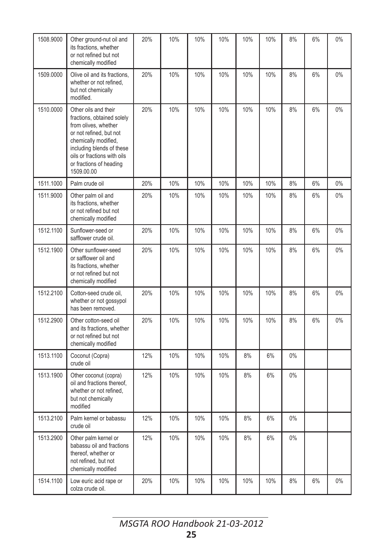| 1508.9000 | Other ground-nut oil and<br>its fractions, whether<br>or not refined but not<br>chemically modified                                                                                                                                | 20% | 10% | 10% | 10% | 10% | 10% | 8%    | 6% | $0\%$ |
|-----------|------------------------------------------------------------------------------------------------------------------------------------------------------------------------------------------------------------------------------------|-----|-----|-----|-----|-----|-----|-------|----|-------|
| 1509.0000 | Olive oil and its fractions,<br>whether or not refined,<br>but not chemically<br>modified.                                                                                                                                         | 20% | 10% | 10% | 10% | 10% | 10% | 8%    | 6% | 0%    |
| 1510.0000 | Other oils and their<br>fractions, obtained solely<br>from olives, whether<br>or not refined, but not<br>chemically modified,<br>including blends of these<br>oils or fractions with oils<br>or fractions of heading<br>1509.00.00 | 20% | 10% | 10% | 10% | 10% | 10% | 8%    | 6% | 0%    |
| 1511.1000 | Palm crude oil                                                                                                                                                                                                                     | 20% | 10% | 10% | 10% | 10% | 10% | 8%    | 6% | 0%    |
| 1511.9000 | Other palm oil and<br>its fractions, whether<br>or not refined but not<br>chemically modified                                                                                                                                      | 20% | 10% | 10% | 10% | 10% | 10% | 8%    | 6% | 0%    |
| 1512.1100 | Sunflower-seed or<br>safflower crude oil.                                                                                                                                                                                          | 20% | 10% | 10% | 10% | 10% | 10% | 8%    | 6% | 0%    |
| 1512.1900 | Other sunflower-seed<br>or safflower oil and<br>its fractions, whether<br>or not refined but not<br>chemically modified                                                                                                            | 20% | 10% | 10% | 10% | 10% | 10% | 8%    | 6% | 0%    |
| 1512.2100 | Cotton-seed crude oil,<br>whether or not gossypol<br>has been removed.                                                                                                                                                             | 20% | 10% | 10% | 10% | 10% | 10% | 8%    | 6% | 0%    |
| 1512.2900 | Other cotton-seed oil<br>and its fractions, whether<br>or not refined but not<br>chemically modified                                                                                                                               | 20% | 10% | 10% | 10% | 10% | 10% | 8%    | 6% | $0\%$ |
| 1513.1100 | Coconut (Copra)<br>crude oil                                                                                                                                                                                                       | 12% | 10% | 10% | 10% | 8%  | 6%  | $0\%$ |    |       |
| 1513.1900 | Other coconut (copra)<br>oil and fractions thereof,<br>whether or not refined,<br>but not chemically<br>modified                                                                                                                   | 12% | 10% | 10% | 10% | 8%  | 6%  | $0\%$ |    |       |
| 1513.2100 | Palm kernel or babassu<br>crude oil                                                                                                                                                                                                | 12% | 10% | 10% | 10% | 8%  | 6%  | $0\%$ |    |       |
| 1513.2900 | Other palm kernel or<br>babassu oil and fractions<br>thereof, whether or<br>not refined, but not<br>chemically modified                                                                                                            | 12% | 10% | 10% | 10% | 8%  | 6%  | $0\%$ |    |       |
| 1514.1100 | Low euric acid rape or<br>colza crude oil.                                                                                                                                                                                         | 20% | 10% | 10% | 10% | 10% | 10% | 8%    | 6% | 0%    |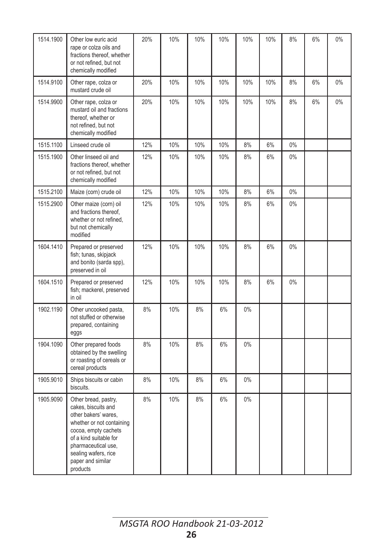| 1514.1900 | Other low euric acid<br>rape or colza oils and<br>fractions thereof, whether<br>or not refined, but not<br>chemically modified                                                                                                     | 20% | 10% | 10% | 10% | 10%   | 10% | 8%    | 6% | $0\%$ |
|-----------|------------------------------------------------------------------------------------------------------------------------------------------------------------------------------------------------------------------------------------|-----|-----|-----|-----|-------|-----|-------|----|-------|
| 1514.9100 | Other rape, colza or<br>mustard crude oil                                                                                                                                                                                          | 20% | 10% | 10% | 10% | 10%   | 10% | 8%    | 6% | 0%    |
| 1514.9900 | Other rape, colza or<br>mustard oil and fractions<br>thereof, whether or<br>not refined, but not<br>chemically modified                                                                                                            | 20% | 10% | 10% | 10% | 10%   | 10% | 8%    | 6% | $0\%$ |
| 1515.1100 | Linseed crude oil                                                                                                                                                                                                                  | 12% | 10% | 10% | 10% | 8%    | 6%  | 0%    |    |       |
| 1515.1900 | Other linseed oil and<br>fractions thereof, whether<br>or not refined, but not<br>chemically modified                                                                                                                              | 12% | 10% | 10% | 10% | 8%    | 6%  | $0\%$ |    |       |
| 1515.2100 | Maize (corn) crude oil                                                                                                                                                                                                             | 12% | 10% | 10% | 10% | 8%    | 6%  | 0%    |    |       |
| 1515.2900 | Other maize (corn) oil<br>and fractions thereof,<br>whether or not refined,<br>but not chemically<br>modified                                                                                                                      | 12% | 10% | 10% | 10% | 8%    | 6%  | 0%    |    |       |
| 1604.1410 | Prepared or preserved<br>fish; tunas, skipjack<br>and bonito (sarda spp),<br>preserved in oil                                                                                                                                      | 12% | 10% | 10% | 10% | 8%    | 6%  | $0\%$ |    |       |
| 1604.1510 | Prepared or preserved<br>fish; mackerel, preserved<br>in oil                                                                                                                                                                       | 12% | 10% | 10% | 10% | 8%    | 6%  | $0\%$ |    |       |
| 1902.1190 | Other uncooked pasta,<br>not stuffed or otherwise<br>prepared, containing<br>eggs                                                                                                                                                  | 8%  | 10% | 8%  | 6%  | 0%    |     |       |    |       |
| 1904.1090 | Other prepared foods<br>obtained by the swelling<br>or roasting of cereals or<br>cereal products                                                                                                                                   | 8%  | 10% | 8%  | 6%  | $0\%$ |     |       |    |       |
| 1905.9010 | Ships biscuits or cabin<br>biscuits.                                                                                                                                                                                               | 8%  | 10% | 8%  | 6%  | $0\%$ |     |       |    |       |
| 1905.9090 | Other bread, pastry,<br>cakes, biscuits and<br>other bakers' wares,<br>whether or not containing<br>cocoa, empty cachets<br>of a kind suitable for<br>pharmaceutical use.<br>sealing wafers, rice<br>paper and similar<br>products | 8%  | 10% | 8%  | 6%  | $0\%$ |     |       |    |       |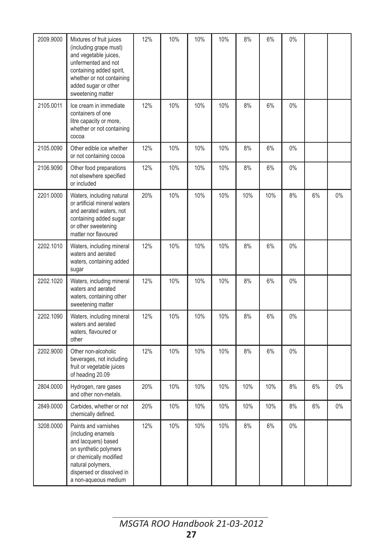| 2009.9000 | Mixtures of fruit juices<br>(including grape must)<br>and vegetable juices,<br>unfermented and not<br>containing added spirit,<br>whether or not containing<br>added sugar or other<br>sweetening matter | 12% | 10% | 10% | 10% | 8%  | 6%  | $0\%$ |    |       |
|-----------|----------------------------------------------------------------------------------------------------------------------------------------------------------------------------------------------------------|-----|-----|-----|-----|-----|-----|-------|----|-------|
| 2105.0011 | Ice cream in immediate<br>containers of one<br>litre capacity or more,<br>whether or not containing<br>cocoa                                                                                             | 12% | 10% | 10% | 10% | 8%  | 6%  | 0%    |    |       |
| 2105.0090 | Other edible ice whether<br>or not containing cocoa                                                                                                                                                      | 12% | 10% | 10% | 10% | 8%  | 6%  | $0\%$ |    |       |
| 2106.9090 | Other food preparations<br>not elsewhere specified<br>or included                                                                                                                                        | 12% | 10% | 10% | 10% | 8%  | 6%  | $0\%$ |    |       |
| 2201.0000 | Waters, including natural<br>or artificial mineral waters<br>and aerated waters, not<br>containing added sugar<br>or other sweetening<br>matter nor flavoured                                            | 20% | 10% | 10% | 10% | 10% | 10% | 8%    | 6% | 0%    |
| 2202.1010 | Waters, including mineral<br>waters and aerated<br>waters, containing added<br>sugar                                                                                                                     | 12% | 10% | 10% | 10% | 8%  | 6%  | $0\%$ |    |       |
| 2202.1020 | Waters, including mineral<br>waters and aerated<br>waters, containing other<br>sweetening matter                                                                                                         | 12% | 10% | 10% | 10% | 8%  | 6%  | $0\%$ |    |       |
| 2202.1090 | Waters, including mineral<br>waters and aerated<br>waters, flavoured or<br>other                                                                                                                         | 12% | 10% | 10% | 10% | 8%  | 6%  | $0\%$ |    |       |
| 2202.9000 | Other non-alcoholic<br>beverages, not including<br>fruit or vegetable juices<br>of heading 20.09                                                                                                         | 12% | 10% | 10% | 10% | 8%  | 6%  | $0\%$ |    |       |
| 2804.0000 | Hydrogen, rare gases<br>and other non-metals.                                                                                                                                                            | 20% | 10% | 10% | 10% | 10% | 10% | 8%    | 6% | $0\%$ |
| 2849.0000 | Carbides, whether or not<br>chemically defined.                                                                                                                                                          | 20% | 10% | 10% | 10% | 10% | 10% | 8%    | 6% | 0%    |
| 3208.0000 | Paints and varnishes<br>(including enamels<br>and lacquers) based<br>on synthetic polymers<br>or chemically modified<br>natural polymers,<br>dispersed or dissolved in<br>a non-aqueous medium           | 12% | 10% | 10% | 10% | 8%  | 6%  | 0%    |    |       |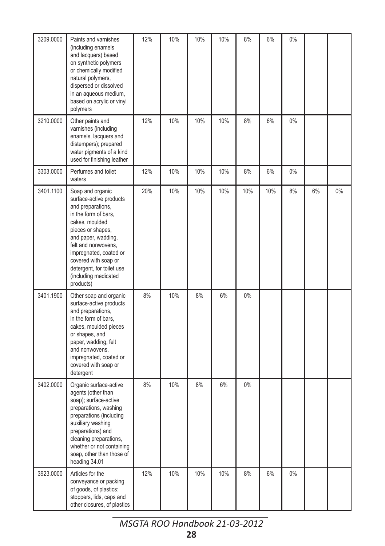| 3209.0000 | Paints and varnishes<br>(including enamels<br>and lacquers) based<br>on synthetic polymers<br>or chemically modified<br>natural polymers,<br>dispersed or dissolved<br>in an aqueous medium,<br>based on acrylic or vinyl<br>polymers                                                             | 12% | 10% | 10% | 10% | 8%  | 6%  | $0\%$ |    |    |
|-----------|---------------------------------------------------------------------------------------------------------------------------------------------------------------------------------------------------------------------------------------------------------------------------------------------------|-----|-----|-----|-----|-----|-----|-------|----|----|
| 3210.0000 | Other paints and<br>varnishes (including<br>enamels, lacquers and<br>distempers); prepared<br>water pigments of a kind<br>used for finishing leather                                                                                                                                              | 12% | 10% | 10% | 10% | 8%  | 6%  | 0%    |    |    |
| 3303.0000 | Perfumes and toilet<br>waters                                                                                                                                                                                                                                                                     | 12% | 10% | 10% | 10% | 8%  | 6%  | $0\%$ |    |    |
| 3401.1100 | Soap and organic<br>surface-active products<br>and preparations,<br>in the form of bars,<br>cakes, moulded<br>pieces or shapes,<br>and paper, wadding,<br>felt and nonwovens,<br>impregnated, coated or<br>covered with soap or<br>detergent, for toilet use<br>(including medicated<br>products) | 20% | 10% | 10% | 10% | 10% | 10% | 8%    | 6% | 0% |
| 3401.1900 | Other soap and organic<br>surface-active products<br>and preparations,<br>in the form of bars,<br>cakes, moulded pieces<br>or shapes, and<br>paper, wadding, felt<br>and nonwovens,<br>impregnated, coated or<br>covered with soap or<br>detergent                                                | 8%  | 10% | 8%  | 6%  | 0%  |     |       |    |    |
| 3402.0000 | Organic surface-active<br>agents (other than<br>soap); surface-active<br>preparations, washing<br>preparations (including<br>auxiliary washing<br>preparations) and<br>cleaning preparations,<br>whether or not containing<br>soap, other than those of<br>heading 34.01                          | 8%  | 10% | 8%  | 6%  | 0%  |     |       |    |    |
| 3923.0000 | Articles for the<br>conveyance or packing<br>of goods, of plastics:<br>stoppers, lids, caps and<br>other closures, of plastics                                                                                                                                                                    | 12% | 10% | 10% | 10% | 8%  | 6%  | $0\%$ |    |    |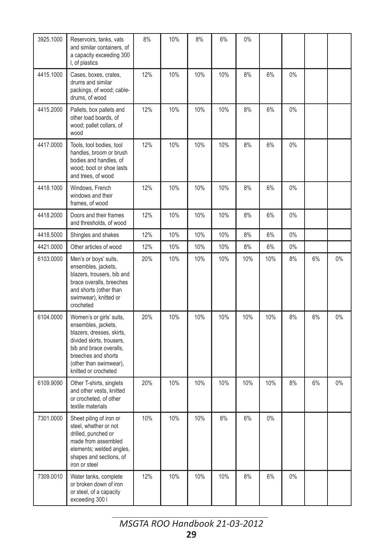| 3925.1000 | Reservoirs, tanks, vats<br>and similar containers, of<br>a capacity exceeding 300<br>I, of plastics                                                                                                           | 8%  | 10% | 8%  | 6%  | 0%  |       |       |    |    |
|-----------|---------------------------------------------------------------------------------------------------------------------------------------------------------------------------------------------------------------|-----|-----|-----|-----|-----|-------|-------|----|----|
| 4415.1000 | Cases, boxes, crates,<br>drums and similar<br>packings, of wood; cable-<br>drums, of wood                                                                                                                     | 12% | 10% | 10% | 10% | 8%  | 6%    | 0%    |    |    |
| 4415.2000 | Pallets, box pallets and<br>other load boards, of<br>wood; pallet collars, of<br>wood                                                                                                                         | 12% | 10% | 10% | 10% | 8%  | 6%    | $0\%$ |    |    |
| 4417.0000 | Tools, tool bodies, tool<br>handles, broom or brush<br>bodies and handles, of<br>wood; boot or shoe lasts<br>and trees, of wood                                                                               | 12% | 10% | 10% | 10% | 8%  | 6%    | $0\%$ |    |    |
| 4418.1000 | Windows, French<br>windows and their<br>frames, of wood                                                                                                                                                       | 12% | 10% | 10% | 10% | 8%  | 6%    | $0\%$ |    |    |
| 4418.2000 | Doors and their frames<br>and thresholds, of wood                                                                                                                                                             | 12% | 10% | 10% | 10% | 8%  | 6%    | 0%    |    |    |
| 4418.5000 | Shingles and shakes                                                                                                                                                                                           | 12% | 10% | 10% | 10% | 8%  | 6%    | 0%    |    |    |
| 4421.0000 | Other articles of wood                                                                                                                                                                                        | 12% | 10% | 10% | 10% | 8%  | 6%    | $0\%$ |    |    |
| 6103.0000 | Men's or boys' suits,<br>ensembles, jackets,<br>blazers, trousers, bib and<br>brace overalls, breeches<br>and shorts (other than<br>swimwear), knitted or<br>crocheted                                        | 20% | 10% | 10% | 10% | 10% | 10%   | 8%    | 6% | 0% |
| 6104.0000 | Women's or girls' suits,<br>ensembles, jackets,<br>blazers, dresses, skirts,<br>divided skirts, trousers,<br>bib and brace overalls.<br>breeches and shorts<br>(other than swimwear),<br>knitted or crocheted | 20% | 10% | 10% | 10% | 10% | 10%   | 8%    | 6% | 0% |
| 6109.9090 | Other T-shirts, singlets<br>and other vests, knitted<br>or crocheted, of other<br>textile materials                                                                                                           | 20% | 10% | 10% | 10% | 10% | 10%   | 8%    | 6% | 0% |
| 7301.0000 | Sheet piling of iron or<br>steel, whether or not<br>drilled, punched or<br>made from assembled<br>elements; welded angles,<br>shapes and sections, of<br>iron or steel                                        | 10% | 10% | 10% | 8%  | 6%  | $0\%$ |       |    |    |
| 7309.0010 | Water tanks, complete<br>or broken down of iron<br>or steel, of a capacity<br>exceeding 300 l                                                                                                                 | 12% | 10% | 10% | 10% | 8%  | 6%    | $0\%$ |    |    |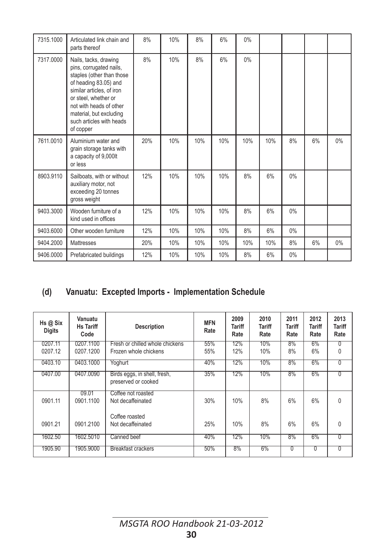| 7315.1000 | Articulated link chain and<br>parts thereof                                                                                                                                                                                                                | 8%  | 10% | 8%  | 6%  | 0%    |     |       |    |       |
|-----------|------------------------------------------------------------------------------------------------------------------------------------------------------------------------------------------------------------------------------------------------------------|-----|-----|-----|-----|-------|-----|-------|----|-------|
| 7317.0000 | Nails, tacks, drawing<br>pins, corrugated nails,<br>staples (other than those<br>of heading 83.05) and<br>similar articles, of iron<br>or steel, whether or<br>not with heads of other<br>material, but excluding<br>such articles with heads<br>of copper | 8%  | 10% | 8%  | 6%  | $0\%$ |     |       |    |       |
| 7611.0010 | Aluminium water and<br>grain storage tanks with<br>a capacity of 9,000lt<br>or less                                                                                                                                                                        | 20% | 10% | 10% | 10% | 10%   | 10% | 8%    | 6% | $0\%$ |
| 8903.9110 | Sailboats, with or without<br>auxiliary motor, not<br>exceeding 20 tonnes<br>gross weight                                                                                                                                                                  | 12% | 10% | 10% | 10% | 8%    | 6%  | 0%    |    |       |
| 9403.3000 | Wooden furniture of a<br>kind used in offices                                                                                                                                                                                                              | 12% | 10% | 10% | 10% | 8%    | 6%  | 0%    |    |       |
| 9403.6000 | Other wooden furniture                                                                                                                                                                                                                                     | 12% | 10% | 10% | 10% | 8%    | 6%  | 0%    |    |       |
| 9404.2000 | Mattresses                                                                                                                                                                                                                                                 | 20% | 10% | 10% | 10% | 10%   | 10% | 8%    | 6% | $0\%$ |
| 9406.0000 | Prefabricated buildings                                                                                                                                                                                                                                    | 12% | 10% | 10% | 10% | 8%    | 6%  | $0\%$ |    |       |

## **(d) Vanuatu: Excepted Imports - Implementation Schedule**

| Hs@Six<br><b>Digits</b> | Vanuatu<br><b>Hs Tariff</b><br>Code | <b>Description</b>                                  | <b>MFN</b><br>Rate | 2009<br>Tariff<br>Rate | 2010<br><b>Tariff</b><br>Rate | 2011<br><b>Tariff</b><br>Rate | 2012<br><b>Tariff</b><br>Rate | 2013<br>Tariff<br>Rate |
|-------------------------|-------------------------------------|-----------------------------------------------------|--------------------|------------------------|-------------------------------|-------------------------------|-------------------------------|------------------------|
| 0207.11                 | 0207.1100                           | Fresh or chilled whole chickens                     | 55%                | 12%                    | 10%                           | 8%                            | $6\%$                         | 0                      |
| 0207.12                 | 0207.1200                           | Frozen whole chickens                               | 55%                | 12%                    | 10%                           | 8%                            | 6%                            | $\mathbf{0}$           |
| 0403.10                 | 0403.1000                           | Yoghurt                                             | 40%                | 12%                    | 10%                           | 8%                            | 6%                            | $\overline{0}$         |
| 0407.00                 | 0407.0090                           | Birds eggs, in shell, fresh,<br>preserved or cooked | 35%                | 12%                    | 10%                           | 8%                            | 6%                            | ∩                      |
| 0901.11                 | 09.01<br>0901.1100                  | Coffee not roasted<br>Not decaffeinated             | 30%                | 10%                    | 8%                            | 6%                            | 6%                            | $\mathbf{0}$           |
| 0901.21                 | 0901.2100                           | Coffee roasted<br>Not decaffeinated                 | 25%                | 10%                    | 8%                            | 6%                            | 6%                            | $\mathbf{0}$           |
| 1602.50                 | 1602.5010                           | Canned beef                                         | 40%                | 12%                    | 10%                           | 8%                            | 6%                            | ∩                      |
| 1905.90                 | 1905.9000                           | Breakfast crackers                                  | 50%                | 8%                     | 6%                            | 0                             | 0                             | $\Omega$               |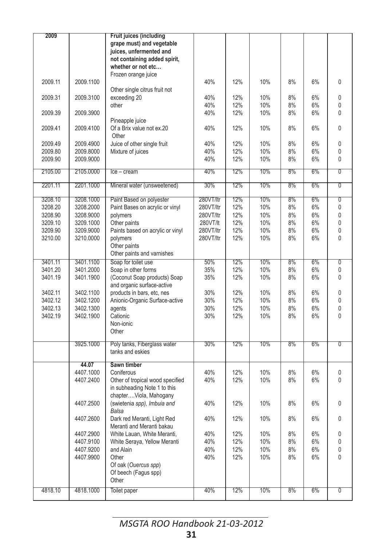| grape must) and vegetable<br>juices, unfermented and<br>not containing added spirit,<br>whether or not etc<br>Frozen orange juice<br>2009.11<br>2009.1100<br>40%<br>12%<br>10%<br>8%<br>6%<br>0<br>Other single citrus fruit not<br>2009.31<br>2009.3100<br>40%<br>12%<br>10%<br>8%<br>6%<br>exceeding 20<br>0<br>40%<br>12%<br>10%<br>6%<br>other<br>8%<br>0<br>2009.39<br>2009.3900<br>40%<br>12%<br>10%<br>8%<br>6%<br>0<br>Pineapple juice<br>Of a Brix value not ex.20<br>0<br>2009.41<br>2009.4100<br>40%<br>12%<br>10%<br>8%<br>6%<br>Other<br>2009.4900<br>Juice of other single fruit<br>40%<br>12%<br>10%<br>8%<br>$\Omega$<br>2009.49<br>6%<br>Mixture of juices<br>40%<br>12%<br>8%<br>2009.80<br>2009.8000<br>10%<br>6%<br>0<br>40%<br>2009.90<br>2009.9000<br>12%<br>10%<br>8%<br>6%<br>0<br>40%<br>10%<br>2105.00<br>2105.0000<br>12%<br>8%<br>6%<br>$\overline{0}$<br>$lce - cream$<br>$\overline{0}$<br>2201.11<br>2201.1000<br>Mineral water (unsweetened)<br>30%<br>12%<br>10%<br>8%<br>6%<br>280VT/ltr<br>12%<br>10%<br>8%<br>6%<br>0<br>3208.10<br>3208.1000<br>Paint Based on polyester<br>Paint Bases on acrylic or vinyl<br>12%<br>10%<br>6%<br>3208.2000<br>280VT/ltr<br>8%<br>0<br>3208.20<br>3208.90<br>3208.9000<br>12%<br>10%<br>8%<br>6%<br>0<br>polymers<br>280VT/ltr<br>Other paints<br>12%<br>10%<br>8%<br>6%<br>0<br>3209.10<br>3209.1000<br>280VT/lt<br>Paints based on acrylic or vinyl<br>12%<br>10%<br>6%<br>0<br>3209.90<br>3209.9000<br>280VT/ltr<br>8%<br>3210.00<br>12%<br>10%<br>8%<br>6%<br>0<br>3210.0000<br>polymers<br>280VT/ltr<br>Other paints<br>Other paints and varnishes<br>12%<br>8%<br>6%<br>$\overline{0}$<br>3401.11<br>3401.1100<br>Soap for toilet use<br>50%<br>10%<br>12%<br>10%<br>6%<br>3401.20<br>3401.2000<br>Soap in other forms<br>35%<br>8%<br>0<br>3401.19<br>3401.1900<br>(Coconut Soap products) Soap<br>35%<br>12%<br>10%<br>8%<br>6%<br>0<br>and organic surface-active<br>30%<br>$\mathbf{0}$<br>3402.11<br>3402.1100<br>products in bars, etc, nes<br>12%<br>10%<br>8%<br>6%<br>30%<br>12%<br>10%<br>3402.12<br>3402.1200<br>Anionic-Organic Surface-active<br>8%<br>6%<br>0<br>30%<br>12%<br>10%<br>8%<br>6%<br>$\mathbf{0}$<br>3402.13<br>3402.1300<br>agents<br>12%<br>8%<br>3402.19<br>3402.1900<br>Cationic<br>30%<br>10%<br>6%<br>0<br>Non-ionic<br>Other<br>Poly tanks, Fiberglass water<br>30%<br>12%<br>10%<br>8%<br>6%<br>$\overline{0}$<br>3925.1000<br>tanks and eskies<br>Sawn timber<br>44.07<br>40%<br>12%<br>10%<br>8%<br>4407.1000<br>Coniferous<br>6%<br>0<br>40%<br>12%<br>10%<br>8%<br>6%<br>0<br>4407.2400<br>Other of tropical wood specified<br>in subheading Note 1 to this<br>chapterViola, Mahogany<br>(swietenia spp), Imbuia and<br>40%<br>12%<br>10%<br>8%<br>6%<br>4407.2500<br>0<br><b>Balsa</b><br>4407.2600<br>40%<br>12%<br>10%<br>8%<br>6%<br>0<br>Dark red Meranti, Light Red<br>Meranti and Meranti bakau<br>40%<br>12%<br>8%<br>6%<br>4407.2900<br>White Lauan, White Meranti,<br>10%<br>0<br>4407.9100<br>White Seraya, Yellow Meranti<br>40%<br>12%<br>10%<br>8%<br>6%<br>0<br>4407.9200<br>and Alain<br>40%<br>12%<br>10%<br>8%<br>6%<br>0<br>4407.9900<br>Other<br>40%<br>12%<br>10%<br>8%<br>6%<br>0<br>Of oak (Ouercus spp)<br>Of beech (Fagus spp)<br>Other<br>4818.10<br>40%<br>12%<br>10%<br>8%<br>6%<br>$\overline{0}$<br>4818.1000<br><b>Toilet paper</b> | 2009 | Fruit juices (including |  |  |  |
|---------------------------------------------------------------------------------------------------------------------------------------------------------------------------------------------------------------------------------------------------------------------------------------------------------------------------------------------------------------------------------------------------------------------------------------------------------------------------------------------------------------------------------------------------------------------------------------------------------------------------------------------------------------------------------------------------------------------------------------------------------------------------------------------------------------------------------------------------------------------------------------------------------------------------------------------------------------------------------------------------------------------------------------------------------------------------------------------------------------------------------------------------------------------------------------------------------------------------------------------------------------------------------------------------------------------------------------------------------------------------------------------------------------------------------------------------------------------------------------------------------------------------------------------------------------------------------------------------------------------------------------------------------------------------------------------------------------------------------------------------------------------------------------------------------------------------------------------------------------------------------------------------------------------------------------------------------------------------------------------------------------------------------------------------------------------------------------------------------------------------------------------------------------------------------------------------------------------------------------------------------------------------------------------------------------------------------------------------------------------------------------------------------------------------------------------------------------------------------------------------------------------------------------------------------------------------------------------------------------------------------------------------------------------------------------------------------------------------------------------------------------------------------------------------------------------------------------------------------------------------------------------------------------------------------------------------------------------------------------------------------------------------------------------------------------------------------------------------------------------------------------------------------------------------------------------------------------------------------------------------------------------------------------------------------------------------------------------------------------------------------------|------|-------------------------|--|--|--|
|                                                                                                                                                                                                                                                                                                                                                                                                                                                                                                                                                                                                                                                                                                                                                                                                                                                                                                                                                                                                                                                                                                                                                                                                                                                                                                                                                                                                                                                                                                                                                                                                                                                                                                                                                                                                                                                                                                                                                                                                                                                                                                                                                                                                                                                                                                                                                                                                                                                                                                                                                                                                                                                                                                                                                                                                                                                                                                                                                                                                                                                                                                                                                                                                                                                                                                                                                                                       |      |                         |  |  |  |
|                                                                                                                                                                                                                                                                                                                                                                                                                                                                                                                                                                                                                                                                                                                                                                                                                                                                                                                                                                                                                                                                                                                                                                                                                                                                                                                                                                                                                                                                                                                                                                                                                                                                                                                                                                                                                                                                                                                                                                                                                                                                                                                                                                                                                                                                                                                                                                                                                                                                                                                                                                                                                                                                                                                                                                                                                                                                                                                                                                                                                                                                                                                                                                                                                                                                                                                                                                                       |      |                         |  |  |  |
|                                                                                                                                                                                                                                                                                                                                                                                                                                                                                                                                                                                                                                                                                                                                                                                                                                                                                                                                                                                                                                                                                                                                                                                                                                                                                                                                                                                                                                                                                                                                                                                                                                                                                                                                                                                                                                                                                                                                                                                                                                                                                                                                                                                                                                                                                                                                                                                                                                                                                                                                                                                                                                                                                                                                                                                                                                                                                                                                                                                                                                                                                                                                                                                                                                                                                                                                                                                       |      |                         |  |  |  |
|                                                                                                                                                                                                                                                                                                                                                                                                                                                                                                                                                                                                                                                                                                                                                                                                                                                                                                                                                                                                                                                                                                                                                                                                                                                                                                                                                                                                                                                                                                                                                                                                                                                                                                                                                                                                                                                                                                                                                                                                                                                                                                                                                                                                                                                                                                                                                                                                                                                                                                                                                                                                                                                                                                                                                                                                                                                                                                                                                                                                                                                                                                                                                                                                                                                                                                                                                                                       |      |                         |  |  |  |
|                                                                                                                                                                                                                                                                                                                                                                                                                                                                                                                                                                                                                                                                                                                                                                                                                                                                                                                                                                                                                                                                                                                                                                                                                                                                                                                                                                                                                                                                                                                                                                                                                                                                                                                                                                                                                                                                                                                                                                                                                                                                                                                                                                                                                                                                                                                                                                                                                                                                                                                                                                                                                                                                                                                                                                                                                                                                                                                                                                                                                                                                                                                                                                                                                                                                                                                                                                                       |      |                         |  |  |  |
|                                                                                                                                                                                                                                                                                                                                                                                                                                                                                                                                                                                                                                                                                                                                                                                                                                                                                                                                                                                                                                                                                                                                                                                                                                                                                                                                                                                                                                                                                                                                                                                                                                                                                                                                                                                                                                                                                                                                                                                                                                                                                                                                                                                                                                                                                                                                                                                                                                                                                                                                                                                                                                                                                                                                                                                                                                                                                                                                                                                                                                                                                                                                                                                                                                                                                                                                                                                       |      |                         |  |  |  |
|                                                                                                                                                                                                                                                                                                                                                                                                                                                                                                                                                                                                                                                                                                                                                                                                                                                                                                                                                                                                                                                                                                                                                                                                                                                                                                                                                                                                                                                                                                                                                                                                                                                                                                                                                                                                                                                                                                                                                                                                                                                                                                                                                                                                                                                                                                                                                                                                                                                                                                                                                                                                                                                                                                                                                                                                                                                                                                                                                                                                                                                                                                                                                                                                                                                                                                                                                                                       |      |                         |  |  |  |
|                                                                                                                                                                                                                                                                                                                                                                                                                                                                                                                                                                                                                                                                                                                                                                                                                                                                                                                                                                                                                                                                                                                                                                                                                                                                                                                                                                                                                                                                                                                                                                                                                                                                                                                                                                                                                                                                                                                                                                                                                                                                                                                                                                                                                                                                                                                                                                                                                                                                                                                                                                                                                                                                                                                                                                                                                                                                                                                                                                                                                                                                                                                                                                                                                                                                                                                                                                                       |      |                         |  |  |  |
|                                                                                                                                                                                                                                                                                                                                                                                                                                                                                                                                                                                                                                                                                                                                                                                                                                                                                                                                                                                                                                                                                                                                                                                                                                                                                                                                                                                                                                                                                                                                                                                                                                                                                                                                                                                                                                                                                                                                                                                                                                                                                                                                                                                                                                                                                                                                                                                                                                                                                                                                                                                                                                                                                                                                                                                                                                                                                                                                                                                                                                                                                                                                                                                                                                                                                                                                                                                       |      |                         |  |  |  |
|                                                                                                                                                                                                                                                                                                                                                                                                                                                                                                                                                                                                                                                                                                                                                                                                                                                                                                                                                                                                                                                                                                                                                                                                                                                                                                                                                                                                                                                                                                                                                                                                                                                                                                                                                                                                                                                                                                                                                                                                                                                                                                                                                                                                                                                                                                                                                                                                                                                                                                                                                                                                                                                                                                                                                                                                                                                                                                                                                                                                                                                                                                                                                                                                                                                                                                                                                                                       |      |                         |  |  |  |
|                                                                                                                                                                                                                                                                                                                                                                                                                                                                                                                                                                                                                                                                                                                                                                                                                                                                                                                                                                                                                                                                                                                                                                                                                                                                                                                                                                                                                                                                                                                                                                                                                                                                                                                                                                                                                                                                                                                                                                                                                                                                                                                                                                                                                                                                                                                                                                                                                                                                                                                                                                                                                                                                                                                                                                                                                                                                                                                                                                                                                                                                                                                                                                                                                                                                                                                                                                                       |      |                         |  |  |  |
|                                                                                                                                                                                                                                                                                                                                                                                                                                                                                                                                                                                                                                                                                                                                                                                                                                                                                                                                                                                                                                                                                                                                                                                                                                                                                                                                                                                                                                                                                                                                                                                                                                                                                                                                                                                                                                                                                                                                                                                                                                                                                                                                                                                                                                                                                                                                                                                                                                                                                                                                                                                                                                                                                                                                                                                                                                                                                                                                                                                                                                                                                                                                                                                                                                                                                                                                                                                       |      |                         |  |  |  |
|                                                                                                                                                                                                                                                                                                                                                                                                                                                                                                                                                                                                                                                                                                                                                                                                                                                                                                                                                                                                                                                                                                                                                                                                                                                                                                                                                                                                                                                                                                                                                                                                                                                                                                                                                                                                                                                                                                                                                                                                                                                                                                                                                                                                                                                                                                                                                                                                                                                                                                                                                                                                                                                                                                                                                                                                                                                                                                                                                                                                                                                                                                                                                                                                                                                                                                                                                                                       |      |                         |  |  |  |
|                                                                                                                                                                                                                                                                                                                                                                                                                                                                                                                                                                                                                                                                                                                                                                                                                                                                                                                                                                                                                                                                                                                                                                                                                                                                                                                                                                                                                                                                                                                                                                                                                                                                                                                                                                                                                                                                                                                                                                                                                                                                                                                                                                                                                                                                                                                                                                                                                                                                                                                                                                                                                                                                                                                                                                                                                                                                                                                                                                                                                                                                                                                                                                                                                                                                                                                                                                                       |      |                         |  |  |  |
|                                                                                                                                                                                                                                                                                                                                                                                                                                                                                                                                                                                                                                                                                                                                                                                                                                                                                                                                                                                                                                                                                                                                                                                                                                                                                                                                                                                                                                                                                                                                                                                                                                                                                                                                                                                                                                                                                                                                                                                                                                                                                                                                                                                                                                                                                                                                                                                                                                                                                                                                                                                                                                                                                                                                                                                                                                                                                                                                                                                                                                                                                                                                                                                                                                                                                                                                                                                       |      |                         |  |  |  |
|                                                                                                                                                                                                                                                                                                                                                                                                                                                                                                                                                                                                                                                                                                                                                                                                                                                                                                                                                                                                                                                                                                                                                                                                                                                                                                                                                                                                                                                                                                                                                                                                                                                                                                                                                                                                                                                                                                                                                                                                                                                                                                                                                                                                                                                                                                                                                                                                                                                                                                                                                                                                                                                                                                                                                                                                                                                                                                                                                                                                                                                                                                                                                                                                                                                                                                                                                                                       |      |                         |  |  |  |
|                                                                                                                                                                                                                                                                                                                                                                                                                                                                                                                                                                                                                                                                                                                                                                                                                                                                                                                                                                                                                                                                                                                                                                                                                                                                                                                                                                                                                                                                                                                                                                                                                                                                                                                                                                                                                                                                                                                                                                                                                                                                                                                                                                                                                                                                                                                                                                                                                                                                                                                                                                                                                                                                                                                                                                                                                                                                                                                                                                                                                                                                                                                                                                                                                                                                                                                                                                                       |      |                         |  |  |  |
|                                                                                                                                                                                                                                                                                                                                                                                                                                                                                                                                                                                                                                                                                                                                                                                                                                                                                                                                                                                                                                                                                                                                                                                                                                                                                                                                                                                                                                                                                                                                                                                                                                                                                                                                                                                                                                                                                                                                                                                                                                                                                                                                                                                                                                                                                                                                                                                                                                                                                                                                                                                                                                                                                                                                                                                                                                                                                                                                                                                                                                                                                                                                                                                                                                                                                                                                                                                       |      |                         |  |  |  |
|                                                                                                                                                                                                                                                                                                                                                                                                                                                                                                                                                                                                                                                                                                                                                                                                                                                                                                                                                                                                                                                                                                                                                                                                                                                                                                                                                                                                                                                                                                                                                                                                                                                                                                                                                                                                                                                                                                                                                                                                                                                                                                                                                                                                                                                                                                                                                                                                                                                                                                                                                                                                                                                                                                                                                                                                                                                                                                                                                                                                                                                                                                                                                                                                                                                                                                                                                                                       |      |                         |  |  |  |
|                                                                                                                                                                                                                                                                                                                                                                                                                                                                                                                                                                                                                                                                                                                                                                                                                                                                                                                                                                                                                                                                                                                                                                                                                                                                                                                                                                                                                                                                                                                                                                                                                                                                                                                                                                                                                                                                                                                                                                                                                                                                                                                                                                                                                                                                                                                                                                                                                                                                                                                                                                                                                                                                                                                                                                                                                                                                                                                                                                                                                                                                                                                                                                                                                                                                                                                                                                                       |      |                         |  |  |  |
|                                                                                                                                                                                                                                                                                                                                                                                                                                                                                                                                                                                                                                                                                                                                                                                                                                                                                                                                                                                                                                                                                                                                                                                                                                                                                                                                                                                                                                                                                                                                                                                                                                                                                                                                                                                                                                                                                                                                                                                                                                                                                                                                                                                                                                                                                                                                                                                                                                                                                                                                                                                                                                                                                                                                                                                                                                                                                                                                                                                                                                                                                                                                                                                                                                                                                                                                                                                       |      |                         |  |  |  |
|                                                                                                                                                                                                                                                                                                                                                                                                                                                                                                                                                                                                                                                                                                                                                                                                                                                                                                                                                                                                                                                                                                                                                                                                                                                                                                                                                                                                                                                                                                                                                                                                                                                                                                                                                                                                                                                                                                                                                                                                                                                                                                                                                                                                                                                                                                                                                                                                                                                                                                                                                                                                                                                                                                                                                                                                                                                                                                                                                                                                                                                                                                                                                                                                                                                                                                                                                                                       |      |                         |  |  |  |
|                                                                                                                                                                                                                                                                                                                                                                                                                                                                                                                                                                                                                                                                                                                                                                                                                                                                                                                                                                                                                                                                                                                                                                                                                                                                                                                                                                                                                                                                                                                                                                                                                                                                                                                                                                                                                                                                                                                                                                                                                                                                                                                                                                                                                                                                                                                                                                                                                                                                                                                                                                                                                                                                                                                                                                                                                                                                                                                                                                                                                                                                                                                                                                                                                                                                                                                                                                                       |      |                         |  |  |  |
|                                                                                                                                                                                                                                                                                                                                                                                                                                                                                                                                                                                                                                                                                                                                                                                                                                                                                                                                                                                                                                                                                                                                                                                                                                                                                                                                                                                                                                                                                                                                                                                                                                                                                                                                                                                                                                                                                                                                                                                                                                                                                                                                                                                                                                                                                                                                                                                                                                                                                                                                                                                                                                                                                                                                                                                                                                                                                                                                                                                                                                                                                                                                                                                                                                                                                                                                                                                       |      |                         |  |  |  |
|                                                                                                                                                                                                                                                                                                                                                                                                                                                                                                                                                                                                                                                                                                                                                                                                                                                                                                                                                                                                                                                                                                                                                                                                                                                                                                                                                                                                                                                                                                                                                                                                                                                                                                                                                                                                                                                                                                                                                                                                                                                                                                                                                                                                                                                                                                                                                                                                                                                                                                                                                                                                                                                                                                                                                                                                                                                                                                                                                                                                                                                                                                                                                                                                                                                                                                                                                                                       |      |                         |  |  |  |
|                                                                                                                                                                                                                                                                                                                                                                                                                                                                                                                                                                                                                                                                                                                                                                                                                                                                                                                                                                                                                                                                                                                                                                                                                                                                                                                                                                                                                                                                                                                                                                                                                                                                                                                                                                                                                                                                                                                                                                                                                                                                                                                                                                                                                                                                                                                                                                                                                                                                                                                                                                                                                                                                                                                                                                                                                                                                                                                                                                                                                                                                                                                                                                                                                                                                                                                                                                                       |      |                         |  |  |  |
|                                                                                                                                                                                                                                                                                                                                                                                                                                                                                                                                                                                                                                                                                                                                                                                                                                                                                                                                                                                                                                                                                                                                                                                                                                                                                                                                                                                                                                                                                                                                                                                                                                                                                                                                                                                                                                                                                                                                                                                                                                                                                                                                                                                                                                                                                                                                                                                                                                                                                                                                                                                                                                                                                                                                                                                                                                                                                                                                                                                                                                                                                                                                                                                                                                                                                                                                                                                       |      |                         |  |  |  |
|                                                                                                                                                                                                                                                                                                                                                                                                                                                                                                                                                                                                                                                                                                                                                                                                                                                                                                                                                                                                                                                                                                                                                                                                                                                                                                                                                                                                                                                                                                                                                                                                                                                                                                                                                                                                                                                                                                                                                                                                                                                                                                                                                                                                                                                                                                                                                                                                                                                                                                                                                                                                                                                                                                                                                                                                                                                                                                                                                                                                                                                                                                                                                                                                                                                                                                                                                                                       |      |                         |  |  |  |
|                                                                                                                                                                                                                                                                                                                                                                                                                                                                                                                                                                                                                                                                                                                                                                                                                                                                                                                                                                                                                                                                                                                                                                                                                                                                                                                                                                                                                                                                                                                                                                                                                                                                                                                                                                                                                                                                                                                                                                                                                                                                                                                                                                                                                                                                                                                                                                                                                                                                                                                                                                                                                                                                                                                                                                                                                                                                                                                                                                                                                                                                                                                                                                                                                                                                                                                                                                                       |      |                         |  |  |  |
|                                                                                                                                                                                                                                                                                                                                                                                                                                                                                                                                                                                                                                                                                                                                                                                                                                                                                                                                                                                                                                                                                                                                                                                                                                                                                                                                                                                                                                                                                                                                                                                                                                                                                                                                                                                                                                                                                                                                                                                                                                                                                                                                                                                                                                                                                                                                                                                                                                                                                                                                                                                                                                                                                                                                                                                                                                                                                                                                                                                                                                                                                                                                                                                                                                                                                                                                                                                       |      |                         |  |  |  |
|                                                                                                                                                                                                                                                                                                                                                                                                                                                                                                                                                                                                                                                                                                                                                                                                                                                                                                                                                                                                                                                                                                                                                                                                                                                                                                                                                                                                                                                                                                                                                                                                                                                                                                                                                                                                                                                                                                                                                                                                                                                                                                                                                                                                                                                                                                                                                                                                                                                                                                                                                                                                                                                                                                                                                                                                                                                                                                                                                                                                                                                                                                                                                                                                                                                                                                                                                                                       |      |                         |  |  |  |
|                                                                                                                                                                                                                                                                                                                                                                                                                                                                                                                                                                                                                                                                                                                                                                                                                                                                                                                                                                                                                                                                                                                                                                                                                                                                                                                                                                                                                                                                                                                                                                                                                                                                                                                                                                                                                                                                                                                                                                                                                                                                                                                                                                                                                                                                                                                                                                                                                                                                                                                                                                                                                                                                                                                                                                                                                                                                                                                                                                                                                                                                                                                                                                                                                                                                                                                                                                                       |      |                         |  |  |  |
|                                                                                                                                                                                                                                                                                                                                                                                                                                                                                                                                                                                                                                                                                                                                                                                                                                                                                                                                                                                                                                                                                                                                                                                                                                                                                                                                                                                                                                                                                                                                                                                                                                                                                                                                                                                                                                                                                                                                                                                                                                                                                                                                                                                                                                                                                                                                                                                                                                                                                                                                                                                                                                                                                                                                                                                                                                                                                                                                                                                                                                                                                                                                                                                                                                                                                                                                                                                       |      |                         |  |  |  |
|                                                                                                                                                                                                                                                                                                                                                                                                                                                                                                                                                                                                                                                                                                                                                                                                                                                                                                                                                                                                                                                                                                                                                                                                                                                                                                                                                                                                                                                                                                                                                                                                                                                                                                                                                                                                                                                                                                                                                                                                                                                                                                                                                                                                                                                                                                                                                                                                                                                                                                                                                                                                                                                                                                                                                                                                                                                                                                                                                                                                                                                                                                                                                                                                                                                                                                                                                                                       |      |                         |  |  |  |
|                                                                                                                                                                                                                                                                                                                                                                                                                                                                                                                                                                                                                                                                                                                                                                                                                                                                                                                                                                                                                                                                                                                                                                                                                                                                                                                                                                                                                                                                                                                                                                                                                                                                                                                                                                                                                                                                                                                                                                                                                                                                                                                                                                                                                                                                                                                                                                                                                                                                                                                                                                                                                                                                                                                                                                                                                                                                                                                                                                                                                                                                                                                                                                                                                                                                                                                                                                                       |      |                         |  |  |  |
|                                                                                                                                                                                                                                                                                                                                                                                                                                                                                                                                                                                                                                                                                                                                                                                                                                                                                                                                                                                                                                                                                                                                                                                                                                                                                                                                                                                                                                                                                                                                                                                                                                                                                                                                                                                                                                                                                                                                                                                                                                                                                                                                                                                                                                                                                                                                                                                                                                                                                                                                                                                                                                                                                                                                                                                                                                                                                                                                                                                                                                                                                                                                                                                                                                                                                                                                                                                       |      |                         |  |  |  |
|                                                                                                                                                                                                                                                                                                                                                                                                                                                                                                                                                                                                                                                                                                                                                                                                                                                                                                                                                                                                                                                                                                                                                                                                                                                                                                                                                                                                                                                                                                                                                                                                                                                                                                                                                                                                                                                                                                                                                                                                                                                                                                                                                                                                                                                                                                                                                                                                                                                                                                                                                                                                                                                                                                                                                                                                                                                                                                                                                                                                                                                                                                                                                                                                                                                                                                                                                                                       |      |                         |  |  |  |
|                                                                                                                                                                                                                                                                                                                                                                                                                                                                                                                                                                                                                                                                                                                                                                                                                                                                                                                                                                                                                                                                                                                                                                                                                                                                                                                                                                                                                                                                                                                                                                                                                                                                                                                                                                                                                                                                                                                                                                                                                                                                                                                                                                                                                                                                                                                                                                                                                                                                                                                                                                                                                                                                                                                                                                                                                                                                                                                                                                                                                                                                                                                                                                                                                                                                                                                                                                                       |      |                         |  |  |  |
|                                                                                                                                                                                                                                                                                                                                                                                                                                                                                                                                                                                                                                                                                                                                                                                                                                                                                                                                                                                                                                                                                                                                                                                                                                                                                                                                                                                                                                                                                                                                                                                                                                                                                                                                                                                                                                                                                                                                                                                                                                                                                                                                                                                                                                                                                                                                                                                                                                                                                                                                                                                                                                                                                                                                                                                                                                                                                                                                                                                                                                                                                                                                                                                                                                                                                                                                                                                       |      |                         |  |  |  |
|                                                                                                                                                                                                                                                                                                                                                                                                                                                                                                                                                                                                                                                                                                                                                                                                                                                                                                                                                                                                                                                                                                                                                                                                                                                                                                                                                                                                                                                                                                                                                                                                                                                                                                                                                                                                                                                                                                                                                                                                                                                                                                                                                                                                                                                                                                                                                                                                                                                                                                                                                                                                                                                                                                                                                                                                                                                                                                                                                                                                                                                                                                                                                                                                                                                                                                                                                                                       |      |                         |  |  |  |
|                                                                                                                                                                                                                                                                                                                                                                                                                                                                                                                                                                                                                                                                                                                                                                                                                                                                                                                                                                                                                                                                                                                                                                                                                                                                                                                                                                                                                                                                                                                                                                                                                                                                                                                                                                                                                                                                                                                                                                                                                                                                                                                                                                                                                                                                                                                                                                                                                                                                                                                                                                                                                                                                                                                                                                                                                                                                                                                                                                                                                                                                                                                                                                                                                                                                                                                                                                                       |      |                         |  |  |  |
|                                                                                                                                                                                                                                                                                                                                                                                                                                                                                                                                                                                                                                                                                                                                                                                                                                                                                                                                                                                                                                                                                                                                                                                                                                                                                                                                                                                                                                                                                                                                                                                                                                                                                                                                                                                                                                                                                                                                                                                                                                                                                                                                                                                                                                                                                                                                                                                                                                                                                                                                                                                                                                                                                                                                                                                                                                                                                                                                                                                                                                                                                                                                                                                                                                                                                                                                                                                       |      |                         |  |  |  |
|                                                                                                                                                                                                                                                                                                                                                                                                                                                                                                                                                                                                                                                                                                                                                                                                                                                                                                                                                                                                                                                                                                                                                                                                                                                                                                                                                                                                                                                                                                                                                                                                                                                                                                                                                                                                                                                                                                                                                                                                                                                                                                                                                                                                                                                                                                                                                                                                                                                                                                                                                                                                                                                                                                                                                                                                                                                                                                                                                                                                                                                                                                                                                                                                                                                                                                                                                                                       |      |                         |  |  |  |
|                                                                                                                                                                                                                                                                                                                                                                                                                                                                                                                                                                                                                                                                                                                                                                                                                                                                                                                                                                                                                                                                                                                                                                                                                                                                                                                                                                                                                                                                                                                                                                                                                                                                                                                                                                                                                                                                                                                                                                                                                                                                                                                                                                                                                                                                                                                                                                                                                                                                                                                                                                                                                                                                                                                                                                                                                                                                                                                                                                                                                                                                                                                                                                                                                                                                                                                                                                                       |      |                         |  |  |  |
|                                                                                                                                                                                                                                                                                                                                                                                                                                                                                                                                                                                                                                                                                                                                                                                                                                                                                                                                                                                                                                                                                                                                                                                                                                                                                                                                                                                                                                                                                                                                                                                                                                                                                                                                                                                                                                                                                                                                                                                                                                                                                                                                                                                                                                                                                                                                                                                                                                                                                                                                                                                                                                                                                                                                                                                                                                                                                                                                                                                                                                                                                                                                                                                                                                                                                                                                                                                       |      |                         |  |  |  |
|                                                                                                                                                                                                                                                                                                                                                                                                                                                                                                                                                                                                                                                                                                                                                                                                                                                                                                                                                                                                                                                                                                                                                                                                                                                                                                                                                                                                                                                                                                                                                                                                                                                                                                                                                                                                                                                                                                                                                                                                                                                                                                                                                                                                                                                                                                                                                                                                                                                                                                                                                                                                                                                                                                                                                                                                                                                                                                                                                                                                                                                                                                                                                                                                                                                                                                                                                                                       |      |                         |  |  |  |
|                                                                                                                                                                                                                                                                                                                                                                                                                                                                                                                                                                                                                                                                                                                                                                                                                                                                                                                                                                                                                                                                                                                                                                                                                                                                                                                                                                                                                                                                                                                                                                                                                                                                                                                                                                                                                                                                                                                                                                                                                                                                                                                                                                                                                                                                                                                                                                                                                                                                                                                                                                                                                                                                                                                                                                                                                                                                                                                                                                                                                                                                                                                                                                                                                                                                                                                                                                                       |      |                         |  |  |  |
|                                                                                                                                                                                                                                                                                                                                                                                                                                                                                                                                                                                                                                                                                                                                                                                                                                                                                                                                                                                                                                                                                                                                                                                                                                                                                                                                                                                                                                                                                                                                                                                                                                                                                                                                                                                                                                                                                                                                                                                                                                                                                                                                                                                                                                                                                                                                                                                                                                                                                                                                                                                                                                                                                                                                                                                                                                                                                                                                                                                                                                                                                                                                                                                                                                                                                                                                                                                       |      |                         |  |  |  |
|                                                                                                                                                                                                                                                                                                                                                                                                                                                                                                                                                                                                                                                                                                                                                                                                                                                                                                                                                                                                                                                                                                                                                                                                                                                                                                                                                                                                                                                                                                                                                                                                                                                                                                                                                                                                                                                                                                                                                                                                                                                                                                                                                                                                                                                                                                                                                                                                                                                                                                                                                                                                                                                                                                                                                                                                                                                                                                                                                                                                                                                                                                                                                                                                                                                                                                                                                                                       |      |                         |  |  |  |
|                                                                                                                                                                                                                                                                                                                                                                                                                                                                                                                                                                                                                                                                                                                                                                                                                                                                                                                                                                                                                                                                                                                                                                                                                                                                                                                                                                                                                                                                                                                                                                                                                                                                                                                                                                                                                                                                                                                                                                                                                                                                                                                                                                                                                                                                                                                                                                                                                                                                                                                                                                                                                                                                                                                                                                                                                                                                                                                                                                                                                                                                                                                                                                                                                                                                                                                                                                                       |      |                         |  |  |  |
|                                                                                                                                                                                                                                                                                                                                                                                                                                                                                                                                                                                                                                                                                                                                                                                                                                                                                                                                                                                                                                                                                                                                                                                                                                                                                                                                                                                                                                                                                                                                                                                                                                                                                                                                                                                                                                                                                                                                                                                                                                                                                                                                                                                                                                                                                                                                                                                                                                                                                                                                                                                                                                                                                                                                                                                                                                                                                                                                                                                                                                                                                                                                                                                                                                                                                                                                                                                       |      |                         |  |  |  |
|                                                                                                                                                                                                                                                                                                                                                                                                                                                                                                                                                                                                                                                                                                                                                                                                                                                                                                                                                                                                                                                                                                                                                                                                                                                                                                                                                                                                                                                                                                                                                                                                                                                                                                                                                                                                                                                                                                                                                                                                                                                                                                                                                                                                                                                                                                                                                                                                                                                                                                                                                                                                                                                                                                                                                                                                                                                                                                                                                                                                                                                                                                                                                                                                                                                                                                                                                                                       |      |                         |  |  |  |
|                                                                                                                                                                                                                                                                                                                                                                                                                                                                                                                                                                                                                                                                                                                                                                                                                                                                                                                                                                                                                                                                                                                                                                                                                                                                                                                                                                                                                                                                                                                                                                                                                                                                                                                                                                                                                                                                                                                                                                                                                                                                                                                                                                                                                                                                                                                                                                                                                                                                                                                                                                                                                                                                                                                                                                                                                                                                                                                                                                                                                                                                                                                                                                                                                                                                                                                                                                                       |      |                         |  |  |  |
|                                                                                                                                                                                                                                                                                                                                                                                                                                                                                                                                                                                                                                                                                                                                                                                                                                                                                                                                                                                                                                                                                                                                                                                                                                                                                                                                                                                                                                                                                                                                                                                                                                                                                                                                                                                                                                                                                                                                                                                                                                                                                                                                                                                                                                                                                                                                                                                                                                                                                                                                                                                                                                                                                                                                                                                                                                                                                                                                                                                                                                                                                                                                                                                                                                                                                                                                                                                       |      |                         |  |  |  |
|                                                                                                                                                                                                                                                                                                                                                                                                                                                                                                                                                                                                                                                                                                                                                                                                                                                                                                                                                                                                                                                                                                                                                                                                                                                                                                                                                                                                                                                                                                                                                                                                                                                                                                                                                                                                                                                                                                                                                                                                                                                                                                                                                                                                                                                                                                                                                                                                                                                                                                                                                                                                                                                                                                                                                                                                                                                                                                                                                                                                                                                                                                                                                                                                                                                                                                                                                                                       |      |                         |  |  |  |
|                                                                                                                                                                                                                                                                                                                                                                                                                                                                                                                                                                                                                                                                                                                                                                                                                                                                                                                                                                                                                                                                                                                                                                                                                                                                                                                                                                                                                                                                                                                                                                                                                                                                                                                                                                                                                                                                                                                                                                                                                                                                                                                                                                                                                                                                                                                                                                                                                                                                                                                                                                                                                                                                                                                                                                                                                                                                                                                                                                                                                                                                                                                                                                                                                                                                                                                                                                                       |      |                         |  |  |  |
|                                                                                                                                                                                                                                                                                                                                                                                                                                                                                                                                                                                                                                                                                                                                                                                                                                                                                                                                                                                                                                                                                                                                                                                                                                                                                                                                                                                                                                                                                                                                                                                                                                                                                                                                                                                                                                                                                                                                                                                                                                                                                                                                                                                                                                                                                                                                                                                                                                                                                                                                                                                                                                                                                                                                                                                                                                                                                                                                                                                                                                                                                                                                                                                                                                                                                                                                                                                       |      |                         |  |  |  |
|                                                                                                                                                                                                                                                                                                                                                                                                                                                                                                                                                                                                                                                                                                                                                                                                                                                                                                                                                                                                                                                                                                                                                                                                                                                                                                                                                                                                                                                                                                                                                                                                                                                                                                                                                                                                                                                                                                                                                                                                                                                                                                                                                                                                                                                                                                                                                                                                                                                                                                                                                                                                                                                                                                                                                                                                                                                                                                                                                                                                                                                                                                                                                                                                                                                                                                                                                                                       |      |                         |  |  |  |
|                                                                                                                                                                                                                                                                                                                                                                                                                                                                                                                                                                                                                                                                                                                                                                                                                                                                                                                                                                                                                                                                                                                                                                                                                                                                                                                                                                                                                                                                                                                                                                                                                                                                                                                                                                                                                                                                                                                                                                                                                                                                                                                                                                                                                                                                                                                                                                                                                                                                                                                                                                                                                                                                                                                                                                                                                                                                                                                                                                                                                                                                                                                                                                                                                                                                                                                                                                                       |      |                         |  |  |  |
|                                                                                                                                                                                                                                                                                                                                                                                                                                                                                                                                                                                                                                                                                                                                                                                                                                                                                                                                                                                                                                                                                                                                                                                                                                                                                                                                                                                                                                                                                                                                                                                                                                                                                                                                                                                                                                                                                                                                                                                                                                                                                                                                                                                                                                                                                                                                                                                                                                                                                                                                                                                                                                                                                                                                                                                                                                                                                                                                                                                                                                                                                                                                                                                                                                                                                                                                                                                       |      |                         |  |  |  |
|                                                                                                                                                                                                                                                                                                                                                                                                                                                                                                                                                                                                                                                                                                                                                                                                                                                                                                                                                                                                                                                                                                                                                                                                                                                                                                                                                                                                                                                                                                                                                                                                                                                                                                                                                                                                                                                                                                                                                                                                                                                                                                                                                                                                                                                                                                                                                                                                                                                                                                                                                                                                                                                                                                                                                                                                                                                                                                                                                                                                                                                                                                                                                                                                                                                                                                                                                                                       |      |                         |  |  |  |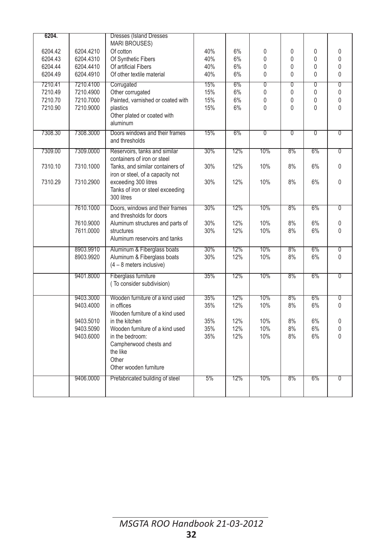| 6204.<br><b>Dresses (Island Dresses)</b>                                                                                       |                |                              |
|--------------------------------------------------------------------------------------------------------------------------------|----------------|------------------------------|
| <b>MARI BROUSES)</b>                                                                                                           |                |                              |
| 6%<br>6204.42<br>6204.4210<br>Of cotton<br>40%<br>0<br>0                                                                       | 0              | 0                            |
| 6%<br>$\mathbf{0}$<br>6204.43<br>6204.4310<br>Of Synthetic Fibers<br>40%<br>0                                                  | $\mathbf{0}$   | 0                            |
| Of artificial Fibers<br>6204.44<br>6204.4410<br>40%<br>6%<br>$\mathbf{0}$<br>0                                                 | $\theta$       | $\mathbf{0}$                 |
| 6204.49<br>6204.4910<br>Of other textile material<br>40%<br>6%<br>0<br>0                                                       | 0              | 0                            |
| 15%<br>6%<br>$\overline{0}$<br>0<br>7210.41<br>7210.4100<br>Corrugated                                                         | 0              | $\overline{0}$               |
| 6%<br>7210.49<br>7210.4900<br>Other corrugated<br>15%<br>0<br>$\Omega$                                                         | 0              | $\mathbf{0}$                 |
| 7210.70<br>7210.7000<br>Painted, varnished or coated with<br>15%<br>6%<br>0<br>$\mathbf{0}$<br>15%<br>$\mathbf{0}$<br>$\Omega$ | 0<br>0         | $\mathbf{0}$<br>$\mathbf{0}$ |
| 7210.90<br>7210.9000<br>plastics<br>6%<br>Other plated or coated with                                                          |                |                              |
| aluminum                                                                                                                       |                |                              |
| 7308.3000<br>Doors windows and their frames<br>15%<br>6%<br>$\overline{0}$<br>$\overline{0}$<br>7308.30                        | $\overline{0}$ | $\overline{0}$               |
| and thresholds                                                                                                                 |                |                              |
| 30%<br>12%<br>10%<br>8%<br>7309.00<br>7309.0000<br>Reservoirs, tanks and similar                                               | 6%             | $\overline{0}$               |
| containers of iron or steel                                                                                                    |                |                              |
| 30%<br>10%<br>8%<br>7310.10<br>7310.1000<br>Tanks, and similar containers of<br>12%                                            | 6%             | $\mathbf{0}$                 |
| iron or steel, of a capacity not                                                                                               |                | $\mathbf{0}$                 |
| 7310.29<br>7310.2900<br>exceeding 300 litres<br>30%<br>12%<br>10%<br>8%<br>Tanks of iron or steel exceeding                    | 6%             |                              |
| 300 litres                                                                                                                     |                |                              |
| 7610.1000<br>30%<br>12%<br>10%<br>8%                                                                                           | 6%             | $\overline{0}$               |
| Doors, windows and their frames<br>and thresholds for doors                                                                    |                |                              |
| 7610.9000<br>30%<br>12%<br>10%<br>8%<br>Aluminum structures and parts of                                                       | 6%             | 0                            |
| 7611.0000<br>30%<br>12%<br>10%<br>8%<br>structures                                                                             | 6%             | $\Omega$                     |
| Aluminum reservoirs and tanks                                                                                                  |                |                              |
| 10%<br>30%<br>12%<br>8%<br>8903.9910<br>Aluminum & Fiberglass boats                                                            | 6%             | $\overline{0}$               |
| 30%<br>12%<br>10%<br>8%<br>8903.9920<br>Aluminum & Fiberglass boats                                                            | 6%             | $\Omega$                     |
| $(4 - 8$ meters inclusive)                                                                                                     |                |                              |
|                                                                                                                                |                | $\overline{0}$               |
| 9401.8000<br>Fiberglass furniture<br>35%<br>12%<br>10%<br>8%<br>(To consider subdivision)                                      | 6%             |                              |
|                                                                                                                                |                |                              |
| 12%<br>10%<br>8%<br>9403.3000<br>Wooden furniture of a kind used<br>35%                                                        | 6%             | σ                            |
| 9403.4000<br>in offices<br>35%<br>12%<br>10%<br>8%                                                                             | 6%             | $\mathbf{0}$                 |
| Wooden furniture of a kind used                                                                                                |                |                              |
| 8%<br>9403.5010<br>in the kitchen<br>35%<br>12%<br>10%                                                                         | 6%             | $\mathbf 0$                  |
| 9403.5090<br>Wooden furniture of a kind used<br>35%<br>12%<br>10%<br>8%                                                        | 6%             | $\mathsf 0$                  |
| 35%<br>12%<br>10%<br>9403.6000<br>in the bedroom:<br>8%                                                                        | 6%             | 0                            |
| Campherwood chests and                                                                                                         |                |                              |
| the like                                                                                                                       |                |                              |
| Other<br>Other wooden furniture                                                                                                |                |                              |
|                                                                                                                                |                |                              |
| 12%<br>10%<br>8%<br>9406.0000<br>Prefabricated building of steel<br>5%                                                         | 6%             | $\overline{0}$               |
|                                                                                                                                |                |                              |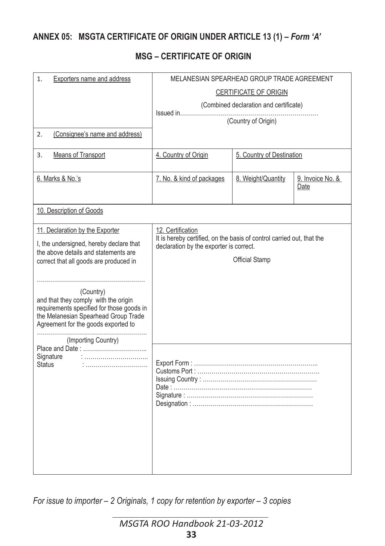## **ANNEX 05: MSGTA CERTIFICATE OF ORIGIN UNDER ARTICLE 13 (1) –** *Form 'A'*

#### **MSG – CERTIFICATE OF ORIGIN**

| 1.<br>Exporters name and address                                                                                                                                                                                                                                                                                                                                     | MELANESIAN SPEARHEAD GROUP TRADE AGREEMENT                                                                                            |                                        |                          |
|----------------------------------------------------------------------------------------------------------------------------------------------------------------------------------------------------------------------------------------------------------------------------------------------------------------------------------------------------------------------|---------------------------------------------------------------------------------------------------------------------------------------|----------------------------------------|--------------------------|
|                                                                                                                                                                                                                                                                                                                                                                      |                                                                                                                                       | <b>CERTIFICATE OF ORIGIN</b>           |                          |
|                                                                                                                                                                                                                                                                                                                                                                      |                                                                                                                                       | (Combined declaration and certificate) |                          |
|                                                                                                                                                                                                                                                                                                                                                                      |                                                                                                                                       | (Country of Origin)                    |                          |
| (Consignee's name and address)<br>2.                                                                                                                                                                                                                                                                                                                                 |                                                                                                                                       |                                        |                          |
| <b>Means of Transport</b><br>3.                                                                                                                                                                                                                                                                                                                                      | 4. Country of Origin                                                                                                                  | 5. Country of Destination              |                          |
| 6. Marks & No.'s                                                                                                                                                                                                                                                                                                                                                     | 7. No. & kind of packages                                                                                                             | 8. Weight/Quantity                     | 9. Invoice No. &<br>Date |
| 10. Description of Goods                                                                                                                                                                                                                                                                                                                                             |                                                                                                                                       |                                        |                          |
| 11. Declaration by the Exporter<br>I, the undersigned, hereby declare that<br>the above details and statements are<br>correct that all goods are produced in<br>(Country)<br>and that they comply with the origin<br>requirements specified for those goods in<br>the Melanesian Spearhead Group Trade<br>Agreement for the goods exported to<br>(Importing Country) | 12. Certification<br>It is hereby certified, on the basis of control carried out, that the<br>declaration by the exporter is correct. | <b>Official Stamp</b>                  |                          |
| Signature<br><b>Status</b>                                                                                                                                                                                                                                                                                                                                           |                                                                                                                                       |                                        |                          |

*For issue to importer – 2 Originals, 1 copy for retention by exporter – 3 copies*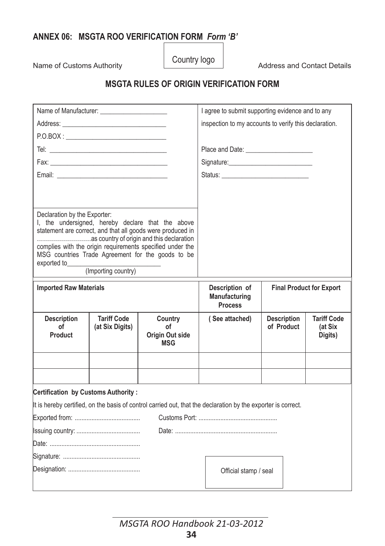## **ANNEX 06: MSGTA ROO VERIFICATION FORM** *Form 'B'*

Name of Customs Authority **Country logo** Address and Contact Details

## **MSGTA RULES OF ORIGIN VERIFICATION FORM**

|                                                                                                                                                                                                                                |                                       |                                                                                                                                                                                                                                   | I agree to submit supporting evidence and to any                                                                                                                                                                               |                                  |                                          |  |  |  |
|--------------------------------------------------------------------------------------------------------------------------------------------------------------------------------------------------------------------------------|---------------------------------------|-----------------------------------------------------------------------------------------------------------------------------------------------------------------------------------------------------------------------------------|--------------------------------------------------------------------------------------------------------------------------------------------------------------------------------------------------------------------------------|----------------------------------|------------------------------------------|--|--|--|
|                                                                                                                                                                                                                                |                                       |                                                                                                                                                                                                                                   | inspection to my accounts to verify this declaration.                                                                                                                                                                          |                                  |                                          |  |  |  |
|                                                                                                                                                                                                                                |                                       |                                                                                                                                                                                                                                   |                                                                                                                                                                                                                                |                                  |                                          |  |  |  |
|                                                                                                                                                                                                                                |                                       |                                                                                                                                                                                                                                   |                                                                                                                                                                                                                                |                                  |                                          |  |  |  |
|                                                                                                                                                                                                                                |                                       |                                                                                                                                                                                                                                   |                                                                                                                                                                                                                                |                                  |                                          |  |  |  |
| Email: Email: Email: Email: Email: Email: Email: Email: Email: Email: Email: Email: Email: Email: Email: Email: Email: Email: Email: Email: Email: Email: Email: Email: Email: Email: Email: Email: Email: Email: Email: Email |                                       |                                                                                                                                                                                                                                   | Status: The Status: The Status: The Status: The Status: The Status: The Status: The Status: The Status: The Status: The Status: The Status: The Status: The Status: The Status: The Status: The Status: The Status: The Status |                                  |                                          |  |  |  |
|                                                                                                                                                                                                                                |                                       |                                                                                                                                                                                                                                   |                                                                                                                                                                                                                                |                                  |                                          |  |  |  |
|                                                                                                                                                                                                                                |                                       |                                                                                                                                                                                                                                   |                                                                                                                                                                                                                                |                                  |                                          |  |  |  |
| Declaration by the Exporter:<br>exported to                                                                                                                                                                                    | (Importing country)                   | I, the undersigned, hereby declare that the above<br>statement are correct, and that all goods were produced in<br>complies with the origin requirements specified under the<br>MSG countries Trade Agreement for the goods to be |                                                                                                                                                                                                                                |                                  |                                          |  |  |  |
| <b>Imported Raw Materials</b>                                                                                                                                                                                                  |                                       |                                                                                                                                                                                                                                   | Description of                                                                                                                                                                                                                 | <b>Final Product for Export</b>  |                                          |  |  |  |
|                                                                                                                                                                                                                                |                                       |                                                                                                                                                                                                                                   | Manufacturing<br><b>Process</b>                                                                                                                                                                                                |                                  |                                          |  |  |  |
| <b>Description</b><br>οf<br>Product                                                                                                                                                                                            | <b>Tariff Code</b><br>(at Six Digits) | Country<br>οf<br>Origin Out side<br><b>MSG</b>                                                                                                                                                                                    | (See attached)                                                                                                                                                                                                                 | <b>Description</b><br>of Product | <b>Tariff Code</b><br>(at Six<br>Digits) |  |  |  |
|                                                                                                                                                                                                                                |                                       |                                                                                                                                                                                                                                   |                                                                                                                                                                                                                                |                                  |                                          |  |  |  |
|                                                                                                                                                                                                                                |                                       |                                                                                                                                                                                                                                   |                                                                                                                                                                                                                                |                                  |                                          |  |  |  |
|                                                                                                                                                                                                                                |                                       |                                                                                                                                                                                                                                   |                                                                                                                                                                                                                                |                                  |                                          |  |  |  |
|                                                                                                                                                                                                                                |                                       |                                                                                                                                                                                                                                   | It is hereby certified, on the basis of control carried out, that the declaration by the exporter is correct.                                                                                                                  |                                  |                                          |  |  |  |
|                                                                                                                                                                                                                                |                                       |                                                                                                                                                                                                                                   |                                                                                                                                                                                                                                |                                  |                                          |  |  |  |
|                                                                                                                                                                                                                                |                                       |                                                                                                                                                                                                                                   |                                                                                                                                                                                                                                |                                  |                                          |  |  |  |
|                                                                                                                                                                                                                                |                                       |                                                                                                                                                                                                                                   |                                                                                                                                                                                                                                |                                  |                                          |  |  |  |
| Certification by Customs Authority:                                                                                                                                                                                            |                                       |                                                                                                                                                                                                                                   |                                                                                                                                                                                                                                |                                  |                                          |  |  |  |

*MSGTA ROO Handbook 21-03-2012* **34**

j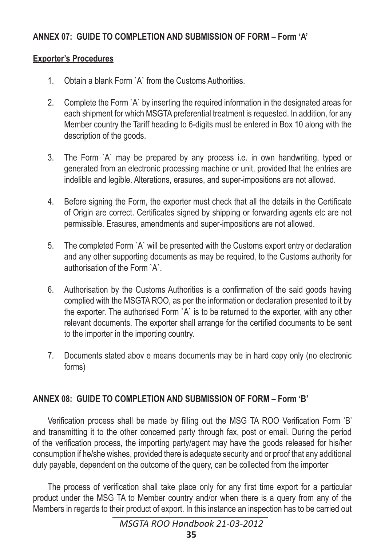## **ANNEX 07: GUIDE TO COMPLETION AND SUBMISSION OF FORM – Form 'A'**

#### **Exporter's Procedures**

- 1. Obtain a blank Form `A` from the Customs Authorities.
- 2. Complete the Form `A` by inserting the required information in the designated areas for each shipment for which MSGTA preferential treatment is requested. In addition, for any Member country the Tariff heading to 6-digits must be entered in Box 10 along with the description of the goods.
- 3. The Form `A` may be prepared by any process i.e. in own handwriting, typed or generated from an electronic processing machine or unit, provided that the entries are indelible and legible. Alterations, erasures, and super-impositions are not allowed.
- 4. Before signing the Form, the exporter must check that all the details in the Certificate of Origin are correct. Certificates signed by shipping or forwarding agents etc are not permissible. Erasures, amendments and super-impositions are not allowed.
- 5. The completed Form `A` will be presented with the Customs export entry or declaration and any other supporting documents as may be required, to the Customs authority for authorisation of the Form `A`.
- 6. Authorisation by the Customs Authorities is a confirmation of the said goods having complied with the MSGTA ROO, as per the information or declaration presented to it by the exporter. The authorised Form `A` is to be returned to the exporter, with any other relevant documents. The exporter shall arrange for the certified documents to be sent to the importer in the importing country.
- 7. Documents stated abov e means documents may be in hard copy only (no electronic forms)

## **ANNEX 08: GUIDE TO COMPLETION AND SUBMISSION OF FORM – Form 'B'**

Verification process shall be made by filling out the MSG TA ROO Verification Form 'B' and transmitting it to the other concerned party through fax, post or email. During the period of the verification process, the importing party/agent may have the goods released for his/her consumption if he/she wishes, provided there is adequate security and or proof that any additional duty payable, dependent on the outcome of the query, can be collected from the importer

The process of verification shall take place only for any first time export for a particular product under the MSG TA to Member country and/or when there is a query from any of the Members in regards to their product of export. In this instance an inspection has to be carried out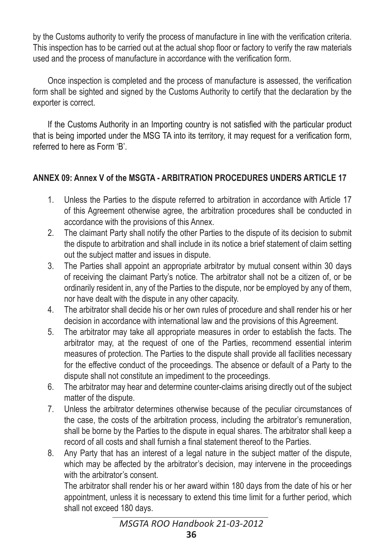by the Customs authority to verify the process of manufacture in line with the verification criteria. This inspection has to be carried out at the actual shop floor or factory to verify the raw materials used and the process of manufacture in accordance with the verification form.

Once inspection is completed and the process of manufacture is assessed, the verification form shall be sighted and signed by the Customs Authority to certify that the declaration by the exporter is correct.

If the Customs Authority in an Importing country is not satisfied with the particular product that is being imported under the MSG TA into its territory, it may request for a verification form, referred to here as Form 'B'.

### **ANNEX 09: Annex V of the MSGTA - ARBITRATION PROCEDURES UNDERS ARTICLE 17**

- 1. Unless the Parties to the dispute referred to arbitration in accordance with Article 17 of this Agreement otherwise agree, the arbitration procedures shall be conducted in accordance with the provisions of this Annex.
- 2. The claimant Party shall notify the other Parties to the dispute of its decision to submit the dispute to arbitration and shall include in its notice a brief statement of claim setting out the subject matter and issues in dispute.
- 3. The Parties shall appoint an appropriate arbitrator by mutual consent within 30 days of receiving the claimant Party's notice. The arbitrator shall not be a citizen of, or be ordinarily resident in, any of the Parties to the dispute, nor be employed by any of them, nor have dealt with the dispute in any other capacity.
- 4. The arbitrator shall decide his or her own rules of procedure and shall render his or her decision in accordance with international law and the provisions of this Agreement.
- 5. The arbitrator may take all appropriate measures in order to establish the facts. The arbitrator may, at the request of one of the Parties, recommend essential interim measures of protection. The Parties to the dispute shall provide all facilities necessary for the effective conduct of the proceedings. The absence or default of a Party to the dispute shall not constitute an impediment to the proceedings.
- 6. The arbitrator may hear and determine counter-claims arising directly out of the subject matter of the dispute.
- 7. Unless the arbitrator determines otherwise because of the peculiar circumstances of the case, the costs of the arbitration process, including the arbitrator's remuneration, shall be borne by the Parties to the dispute in equal shares. The arbitrator shall keep a record of all costs and shall furnish a final statement thereof to the Parties.
- 8. Any Party that has an interest of a legal nature in the subject matter of the dispute, which may be affected by the arbitrator's decision, may intervene in the proceedings with the arbitrator's consent.

The arbitrator shall render his or her award within 180 days from the date of his or her appointment, unless it is necessary to extend this time limit for a further period, which shall not exceed 180 days.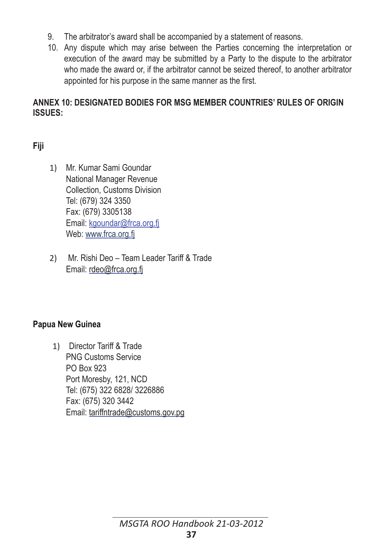- 9. The arbitrator's award shall be accompanied by a statement of reasons.
- 10. Any dispute which may arise between the Parties concerning the interpretation or execution of the award may be submitted by a Party to the dispute to the arbitrator who made the award or, if the arbitrator cannot be seized thereof, to another arbitrator appointed for his purpose in the same manner as the first.

#### **ANNEX 10: DESIGNATED BODIES FOR MSG MEMBER COUNTRIES' RULES OF ORIGIN ISSUES:**

## **Fiji**

- 1) Mr. Kumar Sami Goundar National Manager Revenue Collection, Customs Division Tel: (679) 324 3350 Fax: (679) 3305138 Email: kgoundar@frca.org.fj Web: www.frca.org.fj
- 2) Mr. Rishi Deo Team Leader Tariff & Trade Email: rdeo@frca.org.fj

#### **Papua New Guinea**

1) Director Tariff & Trade PNG Customs Service PO Box 923 Port Moresby, 121, NCD Tel: (675) 322 6828/ 3226886 Fax: (675) 320 3442 Email: tariffntrade@customs.gov.pg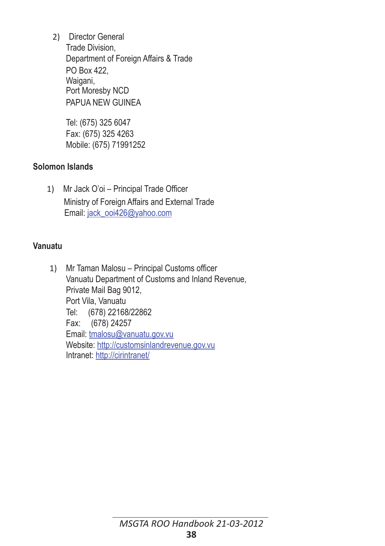2) Director General Trade Division, Department of Foreign Affairs & Trade PO Box 422, Waigani, Port Moresby NCD PAPUA NEW GUINEA

 Tel: (675) 325 6047 Fax: (675) 325 4263 Mobile: (675) 71991252

#### **Solomon Islands**

1) Mr Jack O'oi – Principal Trade Officer Ministry of Foreign Affairs and External Trade Email: jack\_ooi426@yahoo.com

#### **Vanuatu**

1) Mr Taman Malosu – Principal Customs officer Vanuatu Department of Customs and Inland Revenue, Private Mail Bag 9012, Port Vila, Vanuatu Tel: (678) 22168/22862 Fax: (678) 24257 Email: tmalosu@vanuatu.gov.vu Website: http://customsinlandrevenue.gov.vu Intranet: http://cirintranet/